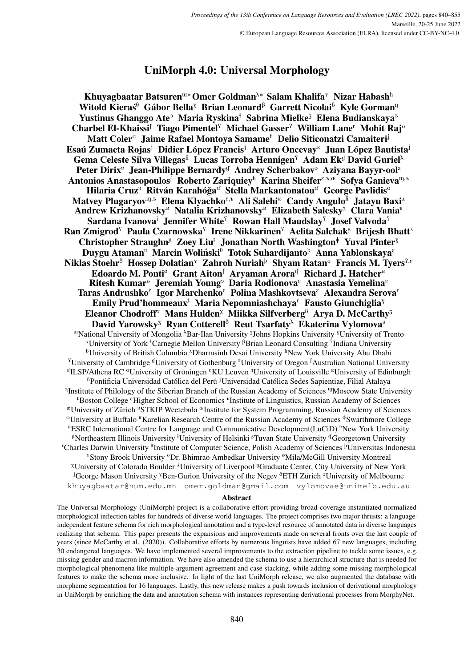# UniMorph 4.0: Universal Morphology

Khuyagbaatar Batsuren<sup>w∗</sup> Omer Goldman<sup>λ∗</sup> Salam Khalifa<sup>Y</sup> Nizar Habash<sup>h</sup> Witold Kieraś<sup>0</sup> Gábor Bella<sup>y</sup> Brian Leonard<sup>β</sup> Garrett Nicolai<sup>6</sup> Kyle Gorman<sup>ŋ</sup> Yustinus Ghanggo Ate<sup>®</sup> Maria Ryskina<sup>ł</sup> Sabrina Mielke<sup>3</sup> Elena Budianskaya<sup>ъ</sup> Charbel El-Khaissi<sup>f</sup> Tiago Pimentel<sup>f</sup> Michael Gasser<sup>2</sup> William Lane<sup>r</sup> Mohit Raj<sup>u</sup> Matt Coler<sup>G</sup> Jaime Rafael Montoya Samame<sup>fi</sup> Delio Siticonatzi Camaiteri<sup>j</sup> Esaú Zumaeta Rojas<sup>j</sup> Didier López Francis<sup>j</sup> Arturo Oncevay<sup> $E$ </sup> Juan López Bautista<sup>j</sup> Gema Celeste Silva Villegas<sup>fi</sup> Lucas Torroba Hennigen<sup>s</sup> Adam Ek<sup>g</sup> David Guriel<sup>λ</sup> Peter Dirix<sup>v</sup> Jean-Philippe Bernardy<sup>g</sup> Andrey Scherbakov<sup>3</sup> Aziyana Bayyr-ool<sup>z</sup> Antonios Anastasopoulos<sup>f</sup> Roberto Zariquiey<sup>fi</sup> Karina Sheifer<sup>e, p, Œ</sup> Sofya Ganieva<sup>m, ъ</sup> Hilaria Cruz<sup>3</sup> Ritván Karahóğa<sup>c</sup> Stella Markantonatou<sup>c</sup> George Pavlidis<sup>c</sup> Matvey Plugaryov<sup>m, Elena Klyachko<sup>e, L</sup>Ali Salehi<sup>®</sup> Candy Angulo<sup>fi</sup> Jatayu Baxi<sup>^</sup></sup> Andrew Krizhanovsky<sup>E</sup> Natalia Krizhanovsky<sup>E</sup> Elizabeth Salesky<sup>3</sup> Clara Vania<sup>e</sup> Sardana Ivanova<sup>i</sup> Jennifer White<sup>S</sup> Rowan Hall Maudslay<sup>S</sup> Josef Valvoda<sup>S</sup> Ran Zmigrod $\Omega$  Paula Czarnowska $\Omega$  Irene Nikkarinen $\Omega$  Aelita Salchak $\Phi$  Brijesh Bhatt<sup>a</sup> Christopher Straughn<sup>n</sup> Zoey Liu<sup>t</sup> Jonathan North Washington<sup> $\phi$ </sup> Yuval Pinter<sup>y</sup> Duygu Ataman<sup>e</sup> Marcin Woliński<sup> $\theta$ </sup> Totok Suhardijanto<sup>þ</sup> Anna Yablonskaya<sup>e</sup> Niklas Stoehr<sup> $\delta$ </sup> Hossep Dolatian<sup>Y</sup> Zahroh Nuriah<sup>b</sup> Shyam Ratan<sup><sup>5</sup> Francis M. Tyers<sup>?,ε</sup></sup> Edoardo M. Ponti<sup>ø</sup> Grant Aiton<sup>f</sup> Aryaman Arora<sup>d</sup> Richard J. Hatcher<sup>®</sup> Ritesh Kumar<sup>®</sup> Jeremiah Young<sup>9</sup> Daria Rodionova<sup>®</sup> Anastasia Yemelina<sup>®</sup> Taras Andrushko $^{\varepsilon}$  Igor Marchenko $^{\varepsilon}$  Polina Mashkovtseva $^{\varepsilon}$  Alexandra Serova $^{\varepsilon}$ Emily Prud'hommeaux<sup>t</sup> Maria Nepomniashchaya<sup> $\epsilon$ </sup> Fausto Giunchiglia<sup>y</sup> Eleanor Chodroff<sup> $\tau$ </sup> Mans Hulden<sup> $\chi$ </sup> Miikka Silfverberg<sup>6</sup> Arya D. McCarthy<sup>3</sup> David Yarowsky<sup>3</sup> Ryan Cotterell<sup>3</sup> Reut Tsarfaty<sup>\</sup> Ekaterina Vylomova<sup>3</sup> <sup>m</sup>National University of Mongolia <sup>A</sup>Bar-Ilan University <sup>3</sup>Johns Hopkins University <sup>y</sup>University of Trento <sup>Y</sup> University of York <sup>1</sup> Carnegie Mellon University <sup> $\beta$ </sup> Brian Leonard Consulting <sup>2</sup> Indiana University  ${}^{6}$ University of British Columbia  ${}^{4}$ Dharmsinh Desai University  ${}^{h}$ New York University Abu Dhabi <sup>S</sup>University of Cambridge <sup>g</sup>University of Gothenburg <sup>9</sup>University of Oregon <sup>J</sup>Australian National University <sup>G</sup>ILSP/Athena RC <sup>G</sup>University of Groningen <sup>v</sup>KU Leuven <sup>3</sup>University of Louisville <sup>E</sup>University of Edinburgh <sup>fi</sup>Pontificia Universidad Católica del Perú <sup>j</sup>Universidad Católica Sedes Sapientiae, Filial Atalaya <sup>2</sup>Institute of Philology of the Siberian Branch of the Russian Academy of Sciences <sup>nj</sup>Moscow State University <sup>#</sup>Boston College <sup>*e*</sup> Higher School of Economics <sup>#</sup>Institute of Linguistics, Russian Academy of Sciences <sup>æ</sup>University of Zürich <sup>8</sup>STKIP Weetebula <sup>Œ</sup>Institute for System Programming, Russian Academy of Sciences <sup>0</sup>University at Buffalo <sup>B</sup>Karelian Research Centre of the Russian Academy of Sciences <sup>\$</sup>Swarthmore College <sup>6</sup>ESRC International Centre for Language and Communicative Development(LuCiD) <sup>8</sup>New York University <sup>n</sup>Northeastern Illinois University <sup>i</sup>University of Helsinki <sup>§</sup>Tuvan State University <sup>q</sup>Georgetown University <sup>r</sup>Charles Darwin University <sup>0</sup>Institute of Computer Science, Polish Academy of Sciences <sup>p</sup>Universitas Indonesia <sup>Y</sup>Stony Brook University <sup>0</sup>Dr. Bhimrao Ambedkar University <sup>ø</sup>Mila/McGill University Montreal <sup> $\chi$ </sup>University of Colorado Boulder  $\Lambda$ <sup>T</sup>University of Liverpool <sup>n</sup>Graduate Center, City University of New York <sup>f</sup>George Mason University <sup>y</sup>Ben-Gurion University of the Negev <sup> $\delta$ </sup>ETH Zürich  $\delta$ University of Melbourne khuyagbaatar@num.edu.mn omer.goldman@gmail.com vylomovae@unimelb.edu.au

#### Abstract

The Universal Morphology (UniMorph) project is a collaborative effort providing broad-coverage instantiated normalized morphological inflection tables for hundreds of diverse world languages. The project comprises two major thrusts: a languageindependent feature schema for rich morphological annotation and a type-level resource of annotated data in diverse languages realizing that schema. This paper presents the expansions and improvements made on several fronts over the last couple of years (since [McCarthy et al. \(2020\)](#page-11-0)). Collaborative efforts by numerous linguists have added 67 new languages, including 30 endangered languages. We have implemented several improvements to the extraction pipeline to tackle some issues, e.g. missing gender and macron information. We have also amended the schema to use a hierarchical structure that is needed for morphological phenomena like multiple-argument agreement and case stacking, while adding some missing morphological features to make the schema more inclusive. In light of the last UniMorph release, we also augmented the database with morpheme segmentation for 16 languages. Lastly, this new release makes a push towards inclusion of derivational morphology in UniMorph by enriching the data and annotation schema with instances representing derivational processes from MorphyNet.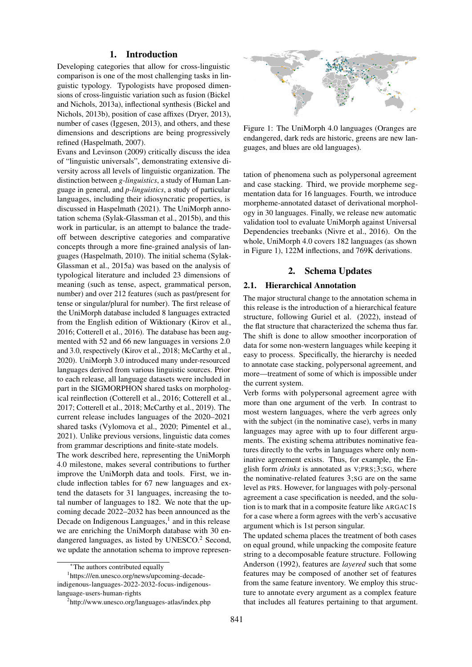### 1. Introduction

Developing categories that allow for cross-linguistic comparison is one of the most challenging tasks in linguistic typology. Typologists have proposed dimensions of cross-linguistic variation such as fusion [\(Bickel](#page-8-0) [and Nichols, 2013a\)](#page-8-0), inflectional synthesis [\(Bickel and](#page-8-1) [Nichols, 2013b\)](#page-8-1), position of case affixes [\(Dryer, 2013\)](#page-8-2), number of cases [\(Iggesen, 2013\)](#page-9-0), and others, and these dimensions and descriptions are being progressively refined [\(Haspelmath, 2007\)](#page-9-1).

[Evans and Levinson \(2009\)](#page-8-3) critically discuss the idea of "linguistic universals", demonstrating extensive diversity across all levels of linguistic organization. The distinction between *g-linguistics*, a study of Human Language in general, and *p-linguistics*, a study of particular languages, including their idiosyncratic properties, is discussed in [Haspelmath \(2021\)](#page-9-2). The UniMorph annotation schema [\(Sylak-Glassman et al., 2015b\)](#page-11-1), and this work in particular, is an attempt to balance the tradeoff between descriptive categories and comparative concepts through a more fine-grained analysis of languages [\(Haspelmath, 2010\)](#page-9-3). The initial schema [\(Sylak-](#page-11-2)[Glassman et al., 2015a\)](#page-11-2) was based on the analysis of typological literature and included 23 dimensions of meaning (such as tense, aspect, grammatical person, number) and over 212 features (such as past/present for tense or singular/plural for number). The first release of the UniMorph database included 8 languages extracted from the English edition of Wiktionary [\(Kirov et al.,](#page-10-0) [2016;](#page-10-0) [Cotterell et al., 2016\)](#page-8-4). The database has been augmented with 52 and 66 new languages in versions 2.0 and 3.0, respectively [\(Kirov et al., 2018;](#page-10-1) [McCarthy et al.,](#page-11-0) [2020\)](#page-11-0). UniMorph 3.0 introduced many under-resourced languages derived from various linguistic sources. Prior to each release, all language datasets were included in part in the SIGMORPHON shared tasks on morphological reinflection [\(Cotterell et al., 2016;](#page-8-4) [Cotterell et al.,](#page-8-5) [2017;](#page-8-5) [Cotterell et al., 2018;](#page-8-6) [McCarthy et al., 2019\)](#page-11-3). The current release includes languages of the 2020–2021 shared tasks [\(Vylomova et al., 2020;](#page-12-0) [Pimentel et al.,](#page-11-4) [2021\)](#page-11-4). Unlike previous versions, linguistic data comes from grammar descriptions and finite-state models.

The work described here, representing the UniMorph 4.0 milestone, makes several contributions to further improve the UniMorph data and tools. First, we include inflection tables for 67 new languages and extend the datasets for 31 languages, increasing the total number of languages to 182. We note that the upcoming decade 2022–2032 has been announced as the Decade on Indigenous Languages, $<sup>1</sup>$  $<sup>1</sup>$  $<sup>1</sup>$  and in this release</sup> we are enriching the UniMorph database with 30 en-dangered languages, as listed by UNESCO.<sup>[2](#page-1-1)</sup> Second, we update the annotation schema to improve represen-

<span id="page-1-2"></span>

Figure 1: The UniMorph 4.0 languages (Oranges are endangered, dark reds are historic, greens are new languages, and blues are old languages).

tation of phenomena such as polypersonal agreement and case stacking. Third, we provide morpheme segmentation data for 16 languages. Fourth, we introduce morpheme-annotated dataset of derivational morphology in 30 languages. Finally, we release new automatic validation tool to evaluate UniMorph against Universal Dependencies treebanks [\(Nivre et al., 2016\)](#page-11-5). On the whole, UniMorph 4.0 covers 182 languages (as shown in Figure [1\)](#page-1-2), 122M inflections, and 769K derivations.

# 2. Schema Updates

#### 2.1. Hierarchical Annotation

The major structural change to the annotation schema in this release is the introduction of a hierarchical feature structure, following [Guriel et al. \(2022\)](#page-9-4), instead of the flat structure that characterized the schema thus far. The shift is done to allow smoother incorporation of data for some non-western languages while keeping it easy to process. Specifically, the hierarchy is needed to annotate case stacking, polypersonal agreement, and more—treatment of some of which is impossible under the current system.

Verb forms with polypersonal agreement agree with more than one argument of the verb. In contrast to most western languages, where the verb agrees only with the subject (in the nominative case), verbs in many languages may agree with up to four different arguments. The existing schema attributes nominative features directly to the verbs in languages where only nominative agreement exists. Thus, for example, the English form *drinks* is annotated as V;PRS;3;SG, where the nominative-related features 3;SG are on the same level as PRS. However, for languages with poly-personal agreement a case specification is needed, and the solution is to mark that in a composite feature like ARGAC1S for a case where a form agrees with the verb's accusative argument which is 1st person singular.

The updated schema places the treatment of both cases on equal ground, while unpacking the composite feature string to a decomposable feature structure. Following [Anderson \(1992\)](#page-8-7), features are *layered* such that some features may be composed of another set of features from the same feature inventory. We employ this structure to annotate every argument as a complex feature that includes all features pertaining to that argument.

<span id="page-1-0"></span><sup>∗</sup>The authors contributed equally

<sup>1</sup> [https:///en.unesco.org/news/upcoming-decade](https:///en.unesco.org/news/upcoming-decade-indigenous-languages-2022-2032-focus-indigenous-language-users-human-rights)[indigenous-languages-2022-2032-focus-indigenous](https:///en.unesco.org/news/upcoming-decade-indigenous-languages-2022-2032-focus-indigenous-language-users-human-rights)[language-users-human-rights](https:///en.unesco.org/news/upcoming-decade-indigenous-languages-2022-2032-focus-indigenous-language-users-human-rights)

<span id="page-1-1"></span><sup>2</sup> <http://www.unesco.org/languages-atlas/index.php>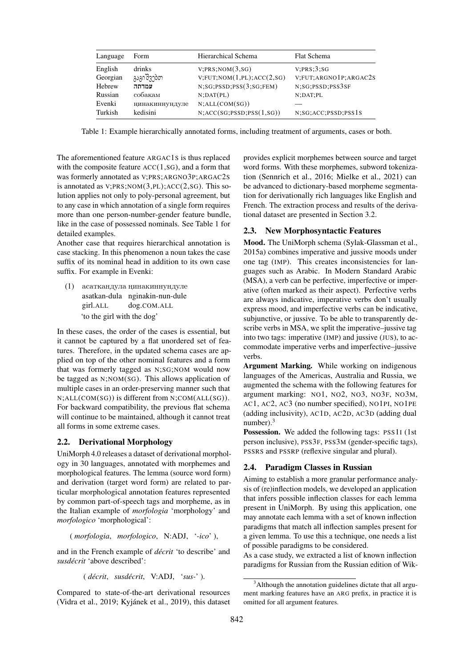<span id="page-2-0"></span>

| Language            | Form                | Hierarchical Schema                                 | <b>Flat Schema</b>                  |
|---------------------|---------------------|-----------------------------------------------------|-------------------------------------|
| English<br>Georgian | drinks<br>გაგიშვებთ | V; PRS; NOM(3,SG)<br>V; FUT; NOM(1, PL); ACC(2, SG) | V:PRS:3:SG<br>V;FUT;ARGNO1P;ARGAC2S |
| Hebrew              | עמדתה               | N;SG;PSSD;PSS(3;SG;FEM)                             | N;SG;PSSD;PSS3SF                    |
| Russian             | собакам             | $N:$ DAT $(PL)$                                     | N;DAT;PL                            |
| Evenki              | ңинакиннундуле      | N;ALL(COM(SG))                                      |                                     |
| Turkish             | kedisini            | N; ACC(SG;PSSD;PSS(1,SG))                           | N;SG; ACC;PSSD;PSS1S                |

Table 1: Example hierarchically annotated forms, including treatment of arguments, cases or both.

The aforementioned feature ARGAC1S is thus replaced with the composite feature ACC(1,SG), and a form that was formerly annotated as V;PRS;ARGNO3P;ARGAC2S is annotated as  $V;PRS;NOM(3, PL); ACC(2, SG)$ . This solution applies not only to poly-personal agreement, but to any case in which annotation of a single form requires more than one person-number-gender feature bundle, like in the case of possessed nominals. See Table [1](#page-2-0) for detailed examples.

Another case that requires hierarchical annotation is case stacking. In this phenomenon a noun takes the case suffix of its nominal head in addition to its own case suffix. For example in Evenki:

(1) асаткандула ңинакиннундуле asatkan-dula nginakin-nun-dule girl.ALL dog.COM.ALL 'to the girl with the dog'

In these cases, the order of the cases is essential, but it cannot be captured by a flat unordered set of features. Therefore, in the updated schema cases are applied on top of the other nominal features and a form that was formerly tagged as N;SG;NOM would now be tagged as N;NOM(SG). This allows application of multiple cases in an order-preserving manner such that N;ALL(COM(SG)) is different from N;COM(ALL(SG)). For backward compatibility, the previous flat schema will continue to be maintained, although it cannot treat all forms in some extreme cases.

## 2.2. Derivational Morphology

UniMorph 4.0 releases a dataset of derivational morphology in 30 languages, annotated with morphemes and morphological features. The lemma (source word form) and derivation (target word form) are related to particular morphological annotation features represented by common part-of-speech tags and morpheme, as in the Italian example of *morfologia* 'morphology' and *morfologico* 'morphological':

( *morfologia*, *morfologico*, N:ADJ, '*-ico*' ),

and in the French example of *décrit* 'to describe' and *susdécrit* 'above described':

( *décrit*, *susdécrit*, V:ADJ, '*sus-*' ).

Compared to state-of-the-art derivational resources [\(Vidra et al., 2019;](#page-12-1) [Kyjánek et al., 2019\)](#page-10-2), this dataset provides explicit morphemes between source and target word forms. With these morphemes, subword tokenization [\(Sennrich et al., 2016;](#page-11-6) [Mielke et al., 2021\)](#page-11-7) can be advanced to dictionary-based morpheme segmentation for derivationally rich languages like English and French. The extraction process and results of the derivational dataset are presented in Section [3.2.](#page-5-0)

#### 2.3. New Morphosyntactic Features

Mood. The UniMorph schema [\(Sylak-Glassman et al.,](#page-11-2) [2015a\)](#page-11-2) combines imperative and jussive moods under one tag (IMP). This creates inconsistencies for languages such as Arabic. In Modern Standard Arabic (MSA), a verb can be perfective, imperfective or imperative (often marked as their aspect). Perfective verbs are always indicative, imperative verbs don't usually express mood, and imperfective verbs can be indicative, subjunctive, or jussive. To be able to transparently describe verbs in MSA, we split the imperative–jussive tag into two tags: imperative (IMP) and jussive (JUS), to accommodate imperative verbs and imperfective–jussive verbs.

Argument Marking. While working on indigenous languages of the Americas, Australia and Russia, we augmented the schema with the following features for argument marking: NO1, NO2, NO3, NO3F, NO3M, AC1, AC2, AC3 (no number specified), NO1PI, NO1PE (adding inclusivity), AC1D, AC2D, AC3D (adding dual number).[3](#page-2-1)

Possession. We added the following tags: PSS1I (1st) person inclusive), PSS3F, PSS3M (gender-specific tags), PSSRS and PSSRP (reflexive singular and plural).

# 2.4. Paradigm Classes in Russian

Aiming to establish a more granular performance analysis of (re)inflection models, we developed an application that infers possible inflection classes for each lemma present in UniMorph. By using this application, one may annotate each lemma with a set of known inflection paradigms that match all inflection samples present for a given lemma. To use this a technique, one needs a list of possible paradigms to be considered.

As a case study, we extracted a list of known inflection paradigms for Russian from the Russian edition of Wik-

<span id="page-2-1"></span><sup>&</sup>lt;sup>3</sup>Although the annotation guidelines dictate that all argument marking features have an ARG prefix, in practice it is omitted for all argument features.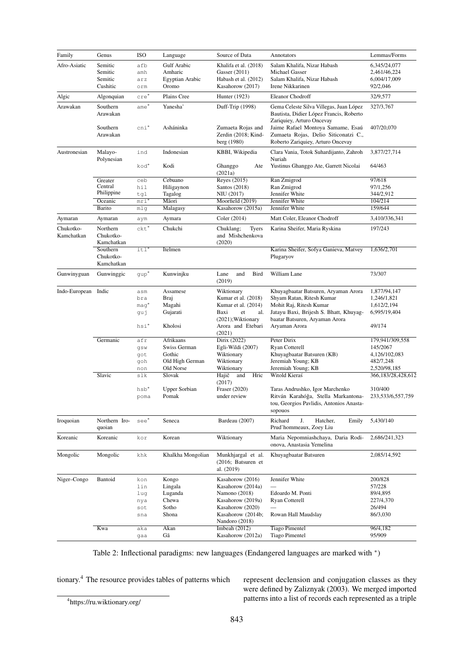<span id="page-3-1"></span>

| Afro-Asiatic<br>Semitic<br><b>Gulf Arabic</b><br>Khalifa et al. (2018)<br>Salam Khalifa, Nizar Habash<br>afb<br>Amharic<br>Semitic<br>Gasser (2011)<br>Michael Gasser<br>amh<br>Semitic<br>Egyptian Arabic<br>Habash et al. (2012)<br>Salam Khalifa, Nizar Habash<br>arz<br>Cushitic<br>Oromo<br>Kasahorow (2017)<br>Irene Nikkarinen<br>92/2,046<br>orm<br>Plains Cree<br>Algic<br>Algonquian<br>cre'<br>Hunter (1923)<br>Eleanor Chodroff<br>32/9,577<br>Arawakan<br>Southern<br>Yanesha'<br>Gema Celeste Silva Villegas, Juan López<br>ame*<br>Duff-Trip (1998)<br>327/3,767<br>Arawakan<br>Bautista, Didier López Francis, Roberto<br>Zariquiey, Arturo Oncevay<br>$\text{cni}^*$<br>Asháninka<br>Zumaeta Rojas and<br>Jaime Rafael Montoya Samame, Esaú<br>407/20,070<br>Southern<br>Zerdin (2018; Kind-<br>Zumaeta Rojas, Delio Siticonatzi C.,<br>Arawakan<br>Roberto Zariquiey, Arturo Oncevay<br>berg (1980)<br>Malayo-<br>Indonesian<br>KBBI, Wikipedia<br>Clara Vania, Totok Suhardijanto, Zahroh<br>Austronesian<br>ind<br>Polynesian<br>Nuriah<br>Kodi<br>64/463<br>kod*<br>Ghanggo<br>Yustinus Ghanggo Ate, Garrett Nicolai<br>Ate<br>(2021a)<br>Cebuano<br>Reyes (2015)<br>Ran Zmigrod<br>97/618<br>ceb<br>Greater<br>Central<br>Ran Zmigrod<br>hil<br>Hiligaynon<br>Santos $(2018)$<br>97/1,256<br>Philippine<br>Tagalog<br>NIU (2017)<br>Jennifer White<br>344/2,912<br>tgl<br>Oceanic<br>Māori<br>Moorfield (2019)<br>Jennifer White<br>104/214<br>mri<br>Barito<br>Jennifer White<br>159/644<br>mlg<br>Malagasy<br>Kasahorow (2015a)<br>Matt Coler, Eleanor Chodroff<br>Coler (2014)<br>Aymaran<br>Aymaran<br>Aymara<br>aym<br>Northern<br>$ckt^*$<br>Chukchi<br>Chukotko-<br>Chuklang;<br><b>Tyers</b><br>Karina Sheifer, Maria Ryskina<br>197/243<br>Kamchatkan<br>Chukotko-<br>and Mishchenkova<br>(2020)<br>Kamchatkan<br>Southern<br>$it1$ <sup>*</sup><br>Itelmen<br>Karina Sheifer, Sofya Ganieva, Matvey<br>1,636/2,701<br>Chukotko-<br>Plugaryov<br>Kamchatkan<br>Kunwinjku<br>and<br><b>Bird</b><br>William Lane<br>73/307<br>Gunwinyguan<br>Gunwinggic<br>qup <sup>*</sup><br>Lane<br>(2019)<br>Indo-European<br>Indic<br>Assamese<br>Khuyagbaatar Batsuren, Aryaman Arora<br>Wiktionary<br>asm<br>Kumar et al. (2018)<br>Shyam Ratan, Ritesh Kumar<br>Braj<br>1,246/1,821<br>bra<br>Magahi<br>Kumar et al. (2014)<br>Mohit Raj, Ritesh Kumar<br>1,612/2,194<br>maq*<br>Gujarati<br>Jatayu Baxi, Brijesh S. Bhatt, Khuyag-<br>Baxi<br>et<br>al.<br>6,995/19,404<br>guj<br>(2021); Wiktionary<br>baatar Batsuren, Aryaman Arora<br>Kholosi<br>49/174<br>hsi*<br>Arora and Etebari<br>Aryaman Arora<br>(2021)<br>Peter Dirix<br>Germanic<br>Afrikaans<br>Dirix (2022)<br>afr<br>Swiss German<br>Ryan Cotterell<br>Egli-Wildi (2007)<br>145/2067<br>gsw<br>Gothic<br>Wiktionary<br>Khuyagbaatar Batsuren (KB)<br>got<br>Old High German<br>Jeremiah Young; KB<br>Wiktionary<br>482/7,248<br>goh<br>Jeremiah Young; KB<br>Old Norse<br>Wiktionary<br>2,520/98,185<br>non<br>Slavic<br>Slovak<br>Hajič<br>Hric<br>Witold Kieraś<br>366,183/28,428,612<br>slk<br>and<br>(2017)<br>Fraser (2020)<br>hsb <sup>*</sup><br>Upper Sorbian<br>Taras Andrushko, Igor Marchenko<br>310/400<br>Pomak<br>under review<br>Ritván Karahóğa, Stella Markantona-<br>poma<br>tou, Georgios Pavlidis, Antonios Anasta-<br>sopouos<br>Richard<br>Iroquoian<br>Northern Iro-<br>see<br>Seneca<br>Bardeau (2007)<br>J.<br>5,430/140<br>Hatcher,<br>Emily<br>Prud'hommeaux, Zoey Liu<br>quoian<br>Korean<br>Koreanic<br>Koreanic<br>Wiktionary<br>Maria Nepomniashchaya, Daria Rodi-<br>2,686/241,323<br>kor<br>onova, Anastasia Yemelina<br>Mongolic<br>Mongolic<br>Khalkha Mongolian<br>Munkhjargal et al.<br>Khuyagbaatar Batsuren<br>khk<br>(2016; Batsuren et | Family | Annotators | Lemmas/Forms      |
|------------------------------------------------------------------------------------------------------------------------------------------------------------------------------------------------------------------------------------------------------------------------------------------------------------------------------------------------------------------------------------------------------------------------------------------------------------------------------------------------------------------------------------------------------------------------------------------------------------------------------------------------------------------------------------------------------------------------------------------------------------------------------------------------------------------------------------------------------------------------------------------------------------------------------------------------------------------------------------------------------------------------------------------------------------------------------------------------------------------------------------------------------------------------------------------------------------------------------------------------------------------------------------------------------------------------------------------------------------------------------------------------------------------------------------------------------------------------------------------------------------------------------------------------------------------------------------------------------------------------------------------------------------------------------------------------------------------------------------------------------------------------------------------------------------------------------------------------------------------------------------------------------------------------------------------------------------------------------------------------------------------------------------------------------------------------------------------------------------------------------------------------------------------------------------------------------------------------------------------------------------------------------------------------------------------------------------------------------------------------------------------------------------------------------------------------------------------------------------------------------------------------------------------------------------------------------------------------------------------------------------------------------------------------------------------------------------------------------------------------------------------------------------------------------------------------------------------------------------------------------------------------------------------------------------------------------------------------------------------------------------------------------------------------------------------------------------------------------------------------------------------------------------------------------------------------------------------------------------------------------------------------------------------------------------------------------------------------------------------------------------------------------------------------------------------------------------------------------------------------------------------------------------------------------------------------------------------------------------------------------------------------------------------------------------------------------------------------------------------------------------------------|--------|------------|-------------------|
|                                                                                                                                                                                                                                                                                                                                                                                                                                                                                                                                                                                                                                                                                                                                                                                                                                                                                                                                                                                                                                                                                                                                                                                                                                                                                                                                                                                                                                                                                                                                                                                                                                                                                                                                                                                                                                                                                                                                                                                                                                                                                                                                                                                                                                                                                                                                                                                                                                                                                                                                                                                                                                                                                                                                                                                                                                                                                                                                                                                                                                                                                                                                                                                                                                                                                                                                                                                                                                                                                                                                                                                                                                                                                                                                                                        |        |            | 6,345/24,077      |
|                                                                                                                                                                                                                                                                                                                                                                                                                                                                                                                                                                                                                                                                                                                                                                                                                                                                                                                                                                                                                                                                                                                                                                                                                                                                                                                                                                                                                                                                                                                                                                                                                                                                                                                                                                                                                                                                                                                                                                                                                                                                                                                                                                                                                                                                                                                                                                                                                                                                                                                                                                                                                                                                                                                                                                                                                                                                                                                                                                                                                                                                                                                                                                                                                                                                                                                                                                                                                                                                                                                                                                                                                                                                                                                                                                        |        |            | 2,461/46,224      |
|                                                                                                                                                                                                                                                                                                                                                                                                                                                                                                                                                                                                                                                                                                                                                                                                                                                                                                                                                                                                                                                                                                                                                                                                                                                                                                                                                                                                                                                                                                                                                                                                                                                                                                                                                                                                                                                                                                                                                                                                                                                                                                                                                                                                                                                                                                                                                                                                                                                                                                                                                                                                                                                                                                                                                                                                                                                                                                                                                                                                                                                                                                                                                                                                                                                                                                                                                                                                                                                                                                                                                                                                                                                                                                                                                                        |        |            | 6,004/17,009      |
|                                                                                                                                                                                                                                                                                                                                                                                                                                                                                                                                                                                                                                                                                                                                                                                                                                                                                                                                                                                                                                                                                                                                                                                                                                                                                                                                                                                                                                                                                                                                                                                                                                                                                                                                                                                                                                                                                                                                                                                                                                                                                                                                                                                                                                                                                                                                                                                                                                                                                                                                                                                                                                                                                                                                                                                                                                                                                                                                                                                                                                                                                                                                                                                                                                                                                                                                                                                                                                                                                                                                                                                                                                                                                                                                                                        |        |            |                   |
|                                                                                                                                                                                                                                                                                                                                                                                                                                                                                                                                                                                                                                                                                                                                                                                                                                                                                                                                                                                                                                                                                                                                                                                                                                                                                                                                                                                                                                                                                                                                                                                                                                                                                                                                                                                                                                                                                                                                                                                                                                                                                                                                                                                                                                                                                                                                                                                                                                                                                                                                                                                                                                                                                                                                                                                                                                                                                                                                                                                                                                                                                                                                                                                                                                                                                                                                                                                                                                                                                                                                                                                                                                                                                                                                                                        |        |            |                   |
|                                                                                                                                                                                                                                                                                                                                                                                                                                                                                                                                                                                                                                                                                                                                                                                                                                                                                                                                                                                                                                                                                                                                                                                                                                                                                                                                                                                                                                                                                                                                                                                                                                                                                                                                                                                                                                                                                                                                                                                                                                                                                                                                                                                                                                                                                                                                                                                                                                                                                                                                                                                                                                                                                                                                                                                                                                                                                                                                                                                                                                                                                                                                                                                                                                                                                                                                                                                                                                                                                                                                                                                                                                                                                                                                                                        |        |            |                   |
|                                                                                                                                                                                                                                                                                                                                                                                                                                                                                                                                                                                                                                                                                                                                                                                                                                                                                                                                                                                                                                                                                                                                                                                                                                                                                                                                                                                                                                                                                                                                                                                                                                                                                                                                                                                                                                                                                                                                                                                                                                                                                                                                                                                                                                                                                                                                                                                                                                                                                                                                                                                                                                                                                                                                                                                                                                                                                                                                                                                                                                                                                                                                                                                                                                                                                                                                                                                                                                                                                                                                                                                                                                                                                                                                                                        |        |            |                   |
|                                                                                                                                                                                                                                                                                                                                                                                                                                                                                                                                                                                                                                                                                                                                                                                                                                                                                                                                                                                                                                                                                                                                                                                                                                                                                                                                                                                                                                                                                                                                                                                                                                                                                                                                                                                                                                                                                                                                                                                                                                                                                                                                                                                                                                                                                                                                                                                                                                                                                                                                                                                                                                                                                                                                                                                                                                                                                                                                                                                                                                                                                                                                                                                                                                                                                                                                                                                                                                                                                                                                                                                                                                                                                                                                                                        |        |            |                   |
|                                                                                                                                                                                                                                                                                                                                                                                                                                                                                                                                                                                                                                                                                                                                                                                                                                                                                                                                                                                                                                                                                                                                                                                                                                                                                                                                                                                                                                                                                                                                                                                                                                                                                                                                                                                                                                                                                                                                                                                                                                                                                                                                                                                                                                                                                                                                                                                                                                                                                                                                                                                                                                                                                                                                                                                                                                                                                                                                                                                                                                                                                                                                                                                                                                                                                                                                                                                                                                                                                                                                                                                                                                                                                                                                                                        |        |            |                   |
|                                                                                                                                                                                                                                                                                                                                                                                                                                                                                                                                                                                                                                                                                                                                                                                                                                                                                                                                                                                                                                                                                                                                                                                                                                                                                                                                                                                                                                                                                                                                                                                                                                                                                                                                                                                                                                                                                                                                                                                                                                                                                                                                                                                                                                                                                                                                                                                                                                                                                                                                                                                                                                                                                                                                                                                                                                                                                                                                                                                                                                                                                                                                                                                                                                                                                                                                                                                                                                                                                                                                                                                                                                                                                                                                                                        |        |            |                   |
|                                                                                                                                                                                                                                                                                                                                                                                                                                                                                                                                                                                                                                                                                                                                                                                                                                                                                                                                                                                                                                                                                                                                                                                                                                                                                                                                                                                                                                                                                                                                                                                                                                                                                                                                                                                                                                                                                                                                                                                                                                                                                                                                                                                                                                                                                                                                                                                                                                                                                                                                                                                                                                                                                                                                                                                                                                                                                                                                                                                                                                                                                                                                                                                                                                                                                                                                                                                                                                                                                                                                                                                                                                                                                                                                                                        |        |            | 3,877/27,714      |
|                                                                                                                                                                                                                                                                                                                                                                                                                                                                                                                                                                                                                                                                                                                                                                                                                                                                                                                                                                                                                                                                                                                                                                                                                                                                                                                                                                                                                                                                                                                                                                                                                                                                                                                                                                                                                                                                                                                                                                                                                                                                                                                                                                                                                                                                                                                                                                                                                                                                                                                                                                                                                                                                                                                                                                                                                                                                                                                                                                                                                                                                                                                                                                                                                                                                                                                                                                                                                                                                                                                                                                                                                                                                                                                                                                        |        |            |                   |
|                                                                                                                                                                                                                                                                                                                                                                                                                                                                                                                                                                                                                                                                                                                                                                                                                                                                                                                                                                                                                                                                                                                                                                                                                                                                                                                                                                                                                                                                                                                                                                                                                                                                                                                                                                                                                                                                                                                                                                                                                                                                                                                                                                                                                                                                                                                                                                                                                                                                                                                                                                                                                                                                                                                                                                                                                                                                                                                                                                                                                                                                                                                                                                                                                                                                                                                                                                                                                                                                                                                                                                                                                                                                                                                                                                        |        |            |                   |
|                                                                                                                                                                                                                                                                                                                                                                                                                                                                                                                                                                                                                                                                                                                                                                                                                                                                                                                                                                                                                                                                                                                                                                                                                                                                                                                                                                                                                                                                                                                                                                                                                                                                                                                                                                                                                                                                                                                                                                                                                                                                                                                                                                                                                                                                                                                                                                                                                                                                                                                                                                                                                                                                                                                                                                                                                                                                                                                                                                                                                                                                                                                                                                                                                                                                                                                                                                                                                                                                                                                                                                                                                                                                                                                                                                        |        |            |                   |
|                                                                                                                                                                                                                                                                                                                                                                                                                                                                                                                                                                                                                                                                                                                                                                                                                                                                                                                                                                                                                                                                                                                                                                                                                                                                                                                                                                                                                                                                                                                                                                                                                                                                                                                                                                                                                                                                                                                                                                                                                                                                                                                                                                                                                                                                                                                                                                                                                                                                                                                                                                                                                                                                                                                                                                                                                                                                                                                                                                                                                                                                                                                                                                                                                                                                                                                                                                                                                                                                                                                                                                                                                                                                                                                                                                        |        |            |                   |
|                                                                                                                                                                                                                                                                                                                                                                                                                                                                                                                                                                                                                                                                                                                                                                                                                                                                                                                                                                                                                                                                                                                                                                                                                                                                                                                                                                                                                                                                                                                                                                                                                                                                                                                                                                                                                                                                                                                                                                                                                                                                                                                                                                                                                                                                                                                                                                                                                                                                                                                                                                                                                                                                                                                                                                                                                                                                                                                                                                                                                                                                                                                                                                                                                                                                                                                                                                                                                                                                                                                                                                                                                                                                                                                                                                        |        |            |                   |
|                                                                                                                                                                                                                                                                                                                                                                                                                                                                                                                                                                                                                                                                                                                                                                                                                                                                                                                                                                                                                                                                                                                                                                                                                                                                                                                                                                                                                                                                                                                                                                                                                                                                                                                                                                                                                                                                                                                                                                                                                                                                                                                                                                                                                                                                                                                                                                                                                                                                                                                                                                                                                                                                                                                                                                                                                                                                                                                                                                                                                                                                                                                                                                                                                                                                                                                                                                                                                                                                                                                                                                                                                                                                                                                                                                        |        |            |                   |
|                                                                                                                                                                                                                                                                                                                                                                                                                                                                                                                                                                                                                                                                                                                                                                                                                                                                                                                                                                                                                                                                                                                                                                                                                                                                                                                                                                                                                                                                                                                                                                                                                                                                                                                                                                                                                                                                                                                                                                                                                                                                                                                                                                                                                                                                                                                                                                                                                                                                                                                                                                                                                                                                                                                                                                                                                                                                                                                                                                                                                                                                                                                                                                                                                                                                                                                                                                                                                                                                                                                                                                                                                                                                                                                                                                        |        |            |                   |
|                                                                                                                                                                                                                                                                                                                                                                                                                                                                                                                                                                                                                                                                                                                                                                                                                                                                                                                                                                                                                                                                                                                                                                                                                                                                                                                                                                                                                                                                                                                                                                                                                                                                                                                                                                                                                                                                                                                                                                                                                                                                                                                                                                                                                                                                                                                                                                                                                                                                                                                                                                                                                                                                                                                                                                                                                                                                                                                                                                                                                                                                                                                                                                                                                                                                                                                                                                                                                                                                                                                                                                                                                                                                                                                                                                        |        |            | 3,410/336,341     |
|                                                                                                                                                                                                                                                                                                                                                                                                                                                                                                                                                                                                                                                                                                                                                                                                                                                                                                                                                                                                                                                                                                                                                                                                                                                                                                                                                                                                                                                                                                                                                                                                                                                                                                                                                                                                                                                                                                                                                                                                                                                                                                                                                                                                                                                                                                                                                                                                                                                                                                                                                                                                                                                                                                                                                                                                                                                                                                                                                                                                                                                                                                                                                                                                                                                                                                                                                                                                                                                                                                                                                                                                                                                                                                                                                                        |        |            |                   |
|                                                                                                                                                                                                                                                                                                                                                                                                                                                                                                                                                                                                                                                                                                                                                                                                                                                                                                                                                                                                                                                                                                                                                                                                                                                                                                                                                                                                                                                                                                                                                                                                                                                                                                                                                                                                                                                                                                                                                                                                                                                                                                                                                                                                                                                                                                                                                                                                                                                                                                                                                                                                                                                                                                                                                                                                                                                                                                                                                                                                                                                                                                                                                                                                                                                                                                                                                                                                                                                                                                                                                                                                                                                                                                                                                                        |        |            |                   |
|                                                                                                                                                                                                                                                                                                                                                                                                                                                                                                                                                                                                                                                                                                                                                                                                                                                                                                                                                                                                                                                                                                                                                                                                                                                                                                                                                                                                                                                                                                                                                                                                                                                                                                                                                                                                                                                                                                                                                                                                                                                                                                                                                                                                                                                                                                                                                                                                                                                                                                                                                                                                                                                                                                                                                                                                                                                                                                                                                                                                                                                                                                                                                                                                                                                                                                                                                                                                                                                                                                                                                                                                                                                                                                                                                                        |        |            |                   |
|                                                                                                                                                                                                                                                                                                                                                                                                                                                                                                                                                                                                                                                                                                                                                                                                                                                                                                                                                                                                                                                                                                                                                                                                                                                                                                                                                                                                                                                                                                                                                                                                                                                                                                                                                                                                                                                                                                                                                                                                                                                                                                                                                                                                                                                                                                                                                                                                                                                                                                                                                                                                                                                                                                                                                                                                                                                                                                                                                                                                                                                                                                                                                                                                                                                                                                                                                                                                                                                                                                                                                                                                                                                                                                                                                                        |        |            |                   |
|                                                                                                                                                                                                                                                                                                                                                                                                                                                                                                                                                                                                                                                                                                                                                                                                                                                                                                                                                                                                                                                                                                                                                                                                                                                                                                                                                                                                                                                                                                                                                                                                                                                                                                                                                                                                                                                                                                                                                                                                                                                                                                                                                                                                                                                                                                                                                                                                                                                                                                                                                                                                                                                                                                                                                                                                                                                                                                                                                                                                                                                                                                                                                                                                                                                                                                                                                                                                                                                                                                                                                                                                                                                                                                                                                                        |        |            |                   |
|                                                                                                                                                                                                                                                                                                                                                                                                                                                                                                                                                                                                                                                                                                                                                                                                                                                                                                                                                                                                                                                                                                                                                                                                                                                                                                                                                                                                                                                                                                                                                                                                                                                                                                                                                                                                                                                                                                                                                                                                                                                                                                                                                                                                                                                                                                                                                                                                                                                                                                                                                                                                                                                                                                                                                                                                                                                                                                                                                                                                                                                                                                                                                                                                                                                                                                                                                                                                                                                                                                                                                                                                                                                                                                                                                                        |        |            |                   |
|                                                                                                                                                                                                                                                                                                                                                                                                                                                                                                                                                                                                                                                                                                                                                                                                                                                                                                                                                                                                                                                                                                                                                                                                                                                                                                                                                                                                                                                                                                                                                                                                                                                                                                                                                                                                                                                                                                                                                                                                                                                                                                                                                                                                                                                                                                                                                                                                                                                                                                                                                                                                                                                                                                                                                                                                                                                                                                                                                                                                                                                                                                                                                                                                                                                                                                                                                                                                                                                                                                                                                                                                                                                                                                                                                                        |        |            |                   |
|                                                                                                                                                                                                                                                                                                                                                                                                                                                                                                                                                                                                                                                                                                                                                                                                                                                                                                                                                                                                                                                                                                                                                                                                                                                                                                                                                                                                                                                                                                                                                                                                                                                                                                                                                                                                                                                                                                                                                                                                                                                                                                                                                                                                                                                                                                                                                                                                                                                                                                                                                                                                                                                                                                                                                                                                                                                                                                                                                                                                                                                                                                                                                                                                                                                                                                                                                                                                                                                                                                                                                                                                                                                                                                                                                                        |        |            | 1,877/94,147      |
|                                                                                                                                                                                                                                                                                                                                                                                                                                                                                                                                                                                                                                                                                                                                                                                                                                                                                                                                                                                                                                                                                                                                                                                                                                                                                                                                                                                                                                                                                                                                                                                                                                                                                                                                                                                                                                                                                                                                                                                                                                                                                                                                                                                                                                                                                                                                                                                                                                                                                                                                                                                                                                                                                                                                                                                                                                                                                                                                                                                                                                                                                                                                                                                                                                                                                                                                                                                                                                                                                                                                                                                                                                                                                                                                                                        |        |            |                   |
|                                                                                                                                                                                                                                                                                                                                                                                                                                                                                                                                                                                                                                                                                                                                                                                                                                                                                                                                                                                                                                                                                                                                                                                                                                                                                                                                                                                                                                                                                                                                                                                                                                                                                                                                                                                                                                                                                                                                                                                                                                                                                                                                                                                                                                                                                                                                                                                                                                                                                                                                                                                                                                                                                                                                                                                                                                                                                                                                                                                                                                                                                                                                                                                                                                                                                                                                                                                                                                                                                                                                                                                                                                                                                                                                                                        |        |            |                   |
|                                                                                                                                                                                                                                                                                                                                                                                                                                                                                                                                                                                                                                                                                                                                                                                                                                                                                                                                                                                                                                                                                                                                                                                                                                                                                                                                                                                                                                                                                                                                                                                                                                                                                                                                                                                                                                                                                                                                                                                                                                                                                                                                                                                                                                                                                                                                                                                                                                                                                                                                                                                                                                                                                                                                                                                                                                                                                                                                                                                                                                                                                                                                                                                                                                                                                                                                                                                                                                                                                                                                                                                                                                                                                                                                                                        |        |            |                   |
|                                                                                                                                                                                                                                                                                                                                                                                                                                                                                                                                                                                                                                                                                                                                                                                                                                                                                                                                                                                                                                                                                                                                                                                                                                                                                                                                                                                                                                                                                                                                                                                                                                                                                                                                                                                                                                                                                                                                                                                                                                                                                                                                                                                                                                                                                                                                                                                                                                                                                                                                                                                                                                                                                                                                                                                                                                                                                                                                                                                                                                                                                                                                                                                                                                                                                                                                                                                                                                                                                                                                                                                                                                                                                                                                                                        |        |            |                   |
|                                                                                                                                                                                                                                                                                                                                                                                                                                                                                                                                                                                                                                                                                                                                                                                                                                                                                                                                                                                                                                                                                                                                                                                                                                                                                                                                                                                                                                                                                                                                                                                                                                                                                                                                                                                                                                                                                                                                                                                                                                                                                                                                                                                                                                                                                                                                                                                                                                                                                                                                                                                                                                                                                                                                                                                                                                                                                                                                                                                                                                                                                                                                                                                                                                                                                                                                                                                                                                                                                                                                                                                                                                                                                                                                                                        |        |            |                   |
|                                                                                                                                                                                                                                                                                                                                                                                                                                                                                                                                                                                                                                                                                                                                                                                                                                                                                                                                                                                                                                                                                                                                                                                                                                                                                                                                                                                                                                                                                                                                                                                                                                                                                                                                                                                                                                                                                                                                                                                                                                                                                                                                                                                                                                                                                                                                                                                                                                                                                                                                                                                                                                                                                                                                                                                                                                                                                                                                                                                                                                                                                                                                                                                                                                                                                                                                                                                                                                                                                                                                                                                                                                                                                                                                                                        |        |            | 179,941/309,558   |
|                                                                                                                                                                                                                                                                                                                                                                                                                                                                                                                                                                                                                                                                                                                                                                                                                                                                                                                                                                                                                                                                                                                                                                                                                                                                                                                                                                                                                                                                                                                                                                                                                                                                                                                                                                                                                                                                                                                                                                                                                                                                                                                                                                                                                                                                                                                                                                                                                                                                                                                                                                                                                                                                                                                                                                                                                                                                                                                                                                                                                                                                                                                                                                                                                                                                                                                                                                                                                                                                                                                                                                                                                                                                                                                                                                        |        |            |                   |
|                                                                                                                                                                                                                                                                                                                                                                                                                                                                                                                                                                                                                                                                                                                                                                                                                                                                                                                                                                                                                                                                                                                                                                                                                                                                                                                                                                                                                                                                                                                                                                                                                                                                                                                                                                                                                                                                                                                                                                                                                                                                                                                                                                                                                                                                                                                                                                                                                                                                                                                                                                                                                                                                                                                                                                                                                                                                                                                                                                                                                                                                                                                                                                                                                                                                                                                                                                                                                                                                                                                                                                                                                                                                                                                                                                        |        |            | 4,126/102,083     |
|                                                                                                                                                                                                                                                                                                                                                                                                                                                                                                                                                                                                                                                                                                                                                                                                                                                                                                                                                                                                                                                                                                                                                                                                                                                                                                                                                                                                                                                                                                                                                                                                                                                                                                                                                                                                                                                                                                                                                                                                                                                                                                                                                                                                                                                                                                                                                                                                                                                                                                                                                                                                                                                                                                                                                                                                                                                                                                                                                                                                                                                                                                                                                                                                                                                                                                                                                                                                                                                                                                                                                                                                                                                                                                                                                                        |        |            |                   |
|                                                                                                                                                                                                                                                                                                                                                                                                                                                                                                                                                                                                                                                                                                                                                                                                                                                                                                                                                                                                                                                                                                                                                                                                                                                                                                                                                                                                                                                                                                                                                                                                                                                                                                                                                                                                                                                                                                                                                                                                                                                                                                                                                                                                                                                                                                                                                                                                                                                                                                                                                                                                                                                                                                                                                                                                                                                                                                                                                                                                                                                                                                                                                                                                                                                                                                                                                                                                                                                                                                                                                                                                                                                                                                                                                                        |        |            |                   |
|                                                                                                                                                                                                                                                                                                                                                                                                                                                                                                                                                                                                                                                                                                                                                                                                                                                                                                                                                                                                                                                                                                                                                                                                                                                                                                                                                                                                                                                                                                                                                                                                                                                                                                                                                                                                                                                                                                                                                                                                                                                                                                                                                                                                                                                                                                                                                                                                                                                                                                                                                                                                                                                                                                                                                                                                                                                                                                                                                                                                                                                                                                                                                                                                                                                                                                                                                                                                                                                                                                                                                                                                                                                                                                                                                                        |        |            |                   |
|                                                                                                                                                                                                                                                                                                                                                                                                                                                                                                                                                                                                                                                                                                                                                                                                                                                                                                                                                                                                                                                                                                                                                                                                                                                                                                                                                                                                                                                                                                                                                                                                                                                                                                                                                                                                                                                                                                                                                                                                                                                                                                                                                                                                                                                                                                                                                                                                                                                                                                                                                                                                                                                                                                                                                                                                                                                                                                                                                                                                                                                                                                                                                                                                                                                                                                                                                                                                                                                                                                                                                                                                                                                                                                                                                                        |        |            |                   |
|                                                                                                                                                                                                                                                                                                                                                                                                                                                                                                                                                                                                                                                                                                                                                                                                                                                                                                                                                                                                                                                                                                                                                                                                                                                                                                                                                                                                                                                                                                                                                                                                                                                                                                                                                                                                                                                                                                                                                                                                                                                                                                                                                                                                                                                                                                                                                                                                                                                                                                                                                                                                                                                                                                                                                                                                                                                                                                                                                                                                                                                                                                                                                                                                                                                                                                                                                                                                                                                                                                                                                                                                                                                                                                                                                                        |        |            | 233,533/6,557,759 |
|                                                                                                                                                                                                                                                                                                                                                                                                                                                                                                                                                                                                                                                                                                                                                                                                                                                                                                                                                                                                                                                                                                                                                                                                                                                                                                                                                                                                                                                                                                                                                                                                                                                                                                                                                                                                                                                                                                                                                                                                                                                                                                                                                                                                                                                                                                                                                                                                                                                                                                                                                                                                                                                                                                                                                                                                                                                                                                                                                                                                                                                                                                                                                                                                                                                                                                                                                                                                                                                                                                                                                                                                                                                                                                                                                                        |        |            |                   |
|                                                                                                                                                                                                                                                                                                                                                                                                                                                                                                                                                                                                                                                                                                                                                                                                                                                                                                                                                                                                                                                                                                                                                                                                                                                                                                                                                                                                                                                                                                                                                                                                                                                                                                                                                                                                                                                                                                                                                                                                                                                                                                                                                                                                                                                                                                                                                                                                                                                                                                                                                                                                                                                                                                                                                                                                                                                                                                                                                                                                                                                                                                                                                                                                                                                                                                                                                                                                                                                                                                                                                                                                                                                                                                                                                                        |        |            |                   |
|                                                                                                                                                                                                                                                                                                                                                                                                                                                                                                                                                                                                                                                                                                                                                                                                                                                                                                                                                                                                                                                                                                                                                                                                                                                                                                                                                                                                                                                                                                                                                                                                                                                                                                                                                                                                                                                                                                                                                                                                                                                                                                                                                                                                                                                                                                                                                                                                                                                                                                                                                                                                                                                                                                                                                                                                                                                                                                                                                                                                                                                                                                                                                                                                                                                                                                                                                                                                                                                                                                                                                                                                                                                                                                                                                                        |        |            |                   |
|                                                                                                                                                                                                                                                                                                                                                                                                                                                                                                                                                                                                                                                                                                                                                                                                                                                                                                                                                                                                                                                                                                                                                                                                                                                                                                                                                                                                                                                                                                                                                                                                                                                                                                                                                                                                                                                                                                                                                                                                                                                                                                                                                                                                                                                                                                                                                                                                                                                                                                                                                                                                                                                                                                                                                                                                                                                                                                                                                                                                                                                                                                                                                                                                                                                                                                                                                                                                                                                                                                                                                                                                                                                                                                                                                                        |        |            |                   |
|                                                                                                                                                                                                                                                                                                                                                                                                                                                                                                                                                                                                                                                                                                                                                                                                                                                                                                                                                                                                                                                                                                                                                                                                                                                                                                                                                                                                                                                                                                                                                                                                                                                                                                                                                                                                                                                                                                                                                                                                                                                                                                                                                                                                                                                                                                                                                                                                                                                                                                                                                                                                                                                                                                                                                                                                                                                                                                                                                                                                                                                                                                                                                                                                                                                                                                                                                                                                                                                                                                                                                                                                                                                                                                                                                                        |        |            |                   |
|                                                                                                                                                                                                                                                                                                                                                                                                                                                                                                                                                                                                                                                                                                                                                                                                                                                                                                                                                                                                                                                                                                                                                                                                                                                                                                                                                                                                                                                                                                                                                                                                                                                                                                                                                                                                                                                                                                                                                                                                                                                                                                                                                                                                                                                                                                                                                                                                                                                                                                                                                                                                                                                                                                                                                                                                                                                                                                                                                                                                                                                                                                                                                                                                                                                                                                                                                                                                                                                                                                                                                                                                                                                                                                                                                                        |        |            | 2,085/14,592      |
|                                                                                                                                                                                                                                                                                                                                                                                                                                                                                                                                                                                                                                                                                                                                                                                                                                                                                                                                                                                                                                                                                                                                                                                                                                                                                                                                                                                                                                                                                                                                                                                                                                                                                                                                                                                                                                                                                                                                                                                                                                                                                                                                                                                                                                                                                                                                                                                                                                                                                                                                                                                                                                                                                                                                                                                                                                                                                                                                                                                                                                                                                                                                                                                                                                                                                                                                                                                                                                                                                                                                                                                                                                                                                                                                                                        |        |            |                   |
| al. (2019)                                                                                                                                                                                                                                                                                                                                                                                                                                                                                                                                                                                                                                                                                                                                                                                                                                                                                                                                                                                                                                                                                                                                                                                                                                                                                                                                                                                                                                                                                                                                                                                                                                                                                                                                                                                                                                                                                                                                                                                                                                                                                                                                                                                                                                                                                                                                                                                                                                                                                                                                                                                                                                                                                                                                                                                                                                                                                                                                                                                                                                                                                                                                                                                                                                                                                                                                                                                                                                                                                                                                                                                                                                                                                                                                                             |        |            |                   |
| Niger-Congo<br>Bantoid<br>Kongo<br>Kasahorow (2016)<br>Jennifer White<br>200/828<br>kon                                                                                                                                                                                                                                                                                                                                                                                                                                                                                                                                                                                                                                                                                                                                                                                                                                                                                                                                                                                                                                                                                                                                                                                                                                                                                                                                                                                                                                                                                                                                                                                                                                                                                                                                                                                                                                                                                                                                                                                                                                                                                                                                                                                                                                                                                                                                                                                                                                                                                                                                                                                                                                                                                                                                                                                                                                                                                                                                                                                                                                                                                                                                                                                                                                                                                                                                                                                                                                                                                                                                                                                                                                                                                |        |            |                   |
| Lingala<br>57/228<br>lin<br>Kasahorow (2014a)                                                                                                                                                                                                                                                                                                                                                                                                                                                                                                                                                                                                                                                                                                                                                                                                                                                                                                                                                                                                                                                                                                                                                                                                                                                                                                                                                                                                                                                                                                                                                                                                                                                                                                                                                                                                                                                                                                                                                                                                                                                                                                                                                                                                                                                                                                                                                                                                                                                                                                                                                                                                                                                                                                                                                                                                                                                                                                                                                                                                                                                                                                                                                                                                                                                                                                                                                                                                                                                                                                                                                                                                                                                                                                                          |        |            |                   |
| Luganda<br>Namono (2018)<br>Edoardo M. Ponti<br>1uq<br>89/4,895                                                                                                                                                                                                                                                                                                                                                                                                                                                                                                                                                                                                                                                                                                                                                                                                                                                                                                                                                                                                                                                                                                                                                                                                                                                                                                                                                                                                                                                                                                                                                                                                                                                                                                                                                                                                                                                                                                                                                                                                                                                                                                                                                                                                                                                                                                                                                                                                                                                                                                                                                                                                                                                                                                                                                                                                                                                                                                                                                                                                                                                                                                                                                                                                                                                                                                                                                                                                                                                                                                                                                                                                                                                                                                        |        |            |                   |
| Chewa<br>Kasahorow (2019a)<br>Ryan Cotterell<br>227/4,370<br>nya                                                                                                                                                                                                                                                                                                                                                                                                                                                                                                                                                                                                                                                                                                                                                                                                                                                                                                                                                                                                                                                                                                                                                                                                                                                                                                                                                                                                                                                                                                                                                                                                                                                                                                                                                                                                                                                                                                                                                                                                                                                                                                                                                                                                                                                                                                                                                                                                                                                                                                                                                                                                                                                                                                                                                                                                                                                                                                                                                                                                                                                                                                                                                                                                                                                                                                                                                                                                                                                                                                                                                                                                                                                                                                       |        |            |                   |
| Sotho<br>Kasahorow (2020)<br>26/494<br>sot                                                                                                                                                                                                                                                                                                                                                                                                                                                                                                                                                                                                                                                                                                                                                                                                                                                                                                                                                                                                                                                                                                                                                                                                                                                                                                                                                                                                                                                                                                                                                                                                                                                                                                                                                                                                                                                                                                                                                                                                                                                                                                                                                                                                                                                                                                                                                                                                                                                                                                                                                                                                                                                                                                                                                                                                                                                                                                                                                                                                                                                                                                                                                                                                                                                                                                                                                                                                                                                                                                                                                                                                                                                                                                                             |        |            |                   |
| Shona<br>Kasahorow (2014b;<br>Rowan Hall Maudslay<br>86/3,030<br>sna<br>Nandoro (2018)                                                                                                                                                                                                                                                                                                                                                                                                                                                                                                                                                                                                                                                                                                                                                                                                                                                                                                                                                                                                                                                                                                                                                                                                                                                                                                                                                                                                                                                                                                                                                                                                                                                                                                                                                                                                                                                                                                                                                                                                                                                                                                                                                                                                                                                                                                                                                                                                                                                                                                                                                                                                                                                                                                                                                                                                                                                                                                                                                                                                                                                                                                                                                                                                                                                                                                                                                                                                                                                                                                                                                                                                                                                                                 |        |            |                   |
| <b>Tiago Pimentel</b><br>Kwa<br>Akan<br>Imbeah $(2012)$<br>96/4,182<br>aka                                                                                                                                                                                                                                                                                                                                                                                                                                                                                                                                                                                                                                                                                                                                                                                                                                                                                                                                                                                                                                                                                                                                                                                                                                                                                                                                                                                                                                                                                                                                                                                                                                                                                                                                                                                                                                                                                                                                                                                                                                                                                                                                                                                                                                                                                                                                                                                                                                                                                                                                                                                                                                                                                                                                                                                                                                                                                                                                                                                                                                                                                                                                                                                                                                                                                                                                                                                                                                                                                                                                                                                                                                                                                             |        |            |                   |
| Kasahorow (2012a)<br><b>Tiago Pimentel</b><br>95/909<br>Gã<br>gaa                                                                                                                                                                                                                                                                                                                                                                                                                                                                                                                                                                                                                                                                                                                                                                                                                                                                                                                                                                                                                                                                                                                                                                                                                                                                                                                                                                                                                                                                                                                                                                                                                                                                                                                                                                                                                                                                                                                                                                                                                                                                                                                                                                                                                                                                                                                                                                                                                                                                                                                                                                                                                                                                                                                                                                                                                                                                                                                                                                                                                                                                                                                                                                                                                                                                                                                                                                                                                                                                                                                                                                                                                                                                                                      |        |            |                   |

Table 2: Inflectional paradigms: new languages (Endangered languages are marked with \*)

tionary.[4](#page-3-0) The resource provides tables of patterns which

<span id="page-3-0"></span>4 https://ru.wiktionary.org/

represent declension and conjugation classes as they were defined by [Zaliznyak \(2003\)](#page-12-4). We merged imported patterns into a list of records each represented as a triple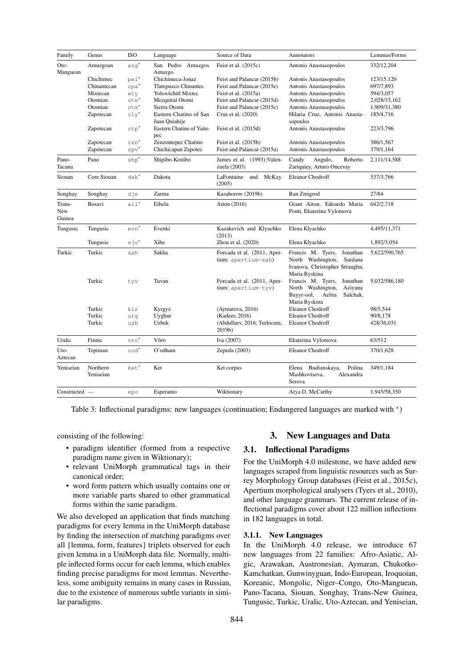<span id="page-4-0"></span>

| Family                  | Genus                 | <b>ISO</b>       | Language                                | Source of Data                                     | Annotators                                                                                                         | Lemmas/Forms  |
|-------------------------|-----------------------|------------------|-----------------------------------------|----------------------------------------------------|--------------------------------------------------------------------------------------------------------------------|---------------|
| Oto-<br>Manguean        | Amuzgoan              | $azq^*$          | San Pedro Amuzgos<br>Amuzgo             | Feist et al. $(2015c)$                             | Antonis Anastasopoulos                                                                                             | 332/12,204    |
|                         | Chichimec             | $pei^*$          | Chichimeca-Jonaz                        | Feist and Palancar (2015b)                         | Antonis Anastasopoulos                                                                                             | 123/15,120    |
|                         | Chinantecan           | $cpa^*$          | Tlatepuzco Chinantec                    | Feist and Palancar (2015e)                         | Antonis Anastasopoulos                                                                                             | 697/7,893     |
|                         | Mixtecan              | xty              | Yoloxóchitl Mixtec                      | Feist et al. (2015a)                               | Antonis Anastasopoulos                                                                                             | 594/3,057     |
|                         | Otomian               | $ote*$           | Mezquital Otomi                         | Feist and Palancar (2015d)                         | Antonis Anastasopoulos                                                                                             | 2,028/33,162  |
|                         | Otomian               | otm <sup>*</sup> | Sierra Otomi                            | Feist and Palancar (2015c)                         | Antonis Anastasopoulos                                                                                             | 1,909/31,380  |
|                         | Zapotecan             | $cly^*$          | Eastern Chatino of San<br>Juan Quiahije | Cruz et al. (2020)                                 | Hilaria Cruz, Antonis Anasta-<br>sopoulos                                                                          | 185/4,716     |
|                         | Zapotecan             | $ctp^*$          | Eastern Chatino of Yaite-<br>pec        | Feist et al. (2015d)                               | Antonis Anastasopoulos                                                                                             | 223/3,796     |
|                         | Zapotecan             | $czn^*$          | Zenzontepec Chatino                     | Feist et al. (2015b)                               | Antonis Anastasopoulos                                                                                             | 386/1,567     |
|                         | Zapotecan             | $zpv^*$          | Chichicapan Zapotec                     | Feist and Palancar (2015a)                         | Antonis Anastasopoulos                                                                                             | 379/1,164     |
| Pano-<br>Tacana         | Pano                  | $shp^*$          | Shipibo-Konibo                          | James et al. (1993); Valen-<br>zuela (2003)        | Roberto<br>Candy<br>Angulo,<br>Zariquiey, Arturo Oncevay                                                           | 2,111/14,588  |
| Siouan                  | Core Siouan           | $dak^*$          | Dakota                                  | LaFontaine and McKay<br>(2005)                     | Eleanor Chodroff                                                                                                   | 537/3,766     |
| Songhay                 | Songhay               | dje              | Zarma                                   | Kasahorow (2019b)                                  | Ran Zmigrod                                                                                                        | 27/84         |
| Trans-<br>New<br>Guinea | Bosavi                | $a$ il $*$       | Eibela                                  | Aiton (2016)                                       | Grant Aiton, Edoardo Maria<br>Ponti, Ekaterina Vylomova                                                            | 642/2,718     |
| Tungusic                | Tungusic              | $\mathtt{evn}^*$ | Evenki                                  | Kazakevich and Klyachko<br>(2013)                  | Elena Klyachko                                                                                                     | 4,495/11,371  |
|                         | Tungusic              | sjo*             | Xibe                                    | Zhou et al. (2020)                                 | Elena Klyachko                                                                                                     | 1,892/3,054   |
| Turkic                  | Turkic                | sah              | Sakha                                   | Forcada et al. (2011, Aper-<br>tium: apertium-sah) | Francis M. Tyers,<br>Jonathan<br>North Washington,<br>Sardana<br>Ivanova, Christopher Straughn,<br>Maria Ryskina   | 5,622/590,765 |
|                         | Turkic                | tyv              | Tuvan                                   | Forcada et al. (2011, Aper-<br>tium: apertium-tyv) | Francis M. Tyers,<br>Jonathan<br>North Washington,<br>Aziyana<br>Bayyr-ool,<br>Aelita<br>Salchak,<br>Maria Ryskina | 5,032/586,180 |
|                         | Turkic                | kir              | Kyrgyz                                  | (Aytnatova, 2016)                                  | Eleanor Chodroff                                                                                                   | 98/5,544      |
|                         | Turkic                | uiq              | Uyghur                                  | (Kadeer, 2016)                                     | Eleanor Chodroff                                                                                                   | 90/8,178      |
|                         | Turkic                | uzb              | Uzbek                                   | (Abdullaev, 2016; Turkicum,<br>2019b)              | Eleanor Chodroff                                                                                                   | 428/36,031    |
| Uralic                  | Finnic                | vro*             | Võro                                    | Iva (2007)                                         | Ekaterina Vylomova                                                                                                 | 63/512        |
| Uto-<br>Aztecan         | Tepiman               | $\circ$ od $^*$  | O'odham                                 | Zepeda (2003)                                      | Eleanor Chodroff                                                                                                   | 370/1,628     |
| Yeniseian               | Northern<br>Yeniseian | ket*             | Ket                                     | Ket corpus                                         | Polina<br>Budianskaya,<br>Elena<br>Mashkovtseva,<br>Alexandra<br>Serova                                            | 349/1,184     |
| Constructed —           |                       | epo              | Esperanto                               | Wiktionary                                         | Arya D. McCarthy                                                                                                   | 1,945/58,350  |

Table 3: Inflectional paradigms: new languages (continuation; Endangered languages are marked with \*)

consisting of the following:

- paradigm identifier (formed from a respective paradigm name given in Wiktionary);
- relevant UniMorph grammatical tags in their canonical order;
- word form pattern which usually contains one or more variable parts shared to other grammatical forms within the same paradigm.

We also developed an application that finds matching paradigms for every lemma in the UniMorph database by finding the intersection of matching paradigms over all {lemma, form, features} triplets observed for each given lemma in a UniMorph data file. Normally, multiple inflected forms occur for each lemma, which enables finding precise paradigms for most lemmas. Nevertheless, some ambiguity remains in many cases in Russian, due to the existence of numerous subtle variants in similar paradigms.

## 3. New Languages and Data

## 3.1. Inflectional Paradigms

For the UniMorph 4.0 milestone, we have added new languages scraped from linguistic resources such as Surrey Morphology Group databases [\(Feist et al., 2015c\)](#page-9-12), Apertium morphological analysers [\(Tyers et al., 2010\)](#page-12-9), and other language grammars. The current release of inflectional paradigms cover about 122 million inflections in 182 languages in total.

#### 3.1.1. New Languages

In the UniMorph 4.0 release, we introduce 67 new languages from 22 families: Afro-Asiatic, Algic, Arawakan, Austronesian, Aymaran, Chukotko-Kamchatkan, Gunwinyguan, Indo-European, Iroquoian, Koreanic, Mongolic, Niger–Congo, Oto-Manguean, Pano-Tacana, Siouan, Songhay, Trans-New Guinea, Tungusic, Turkic, Uralic, Uto-Aztecan, and Yeniseian,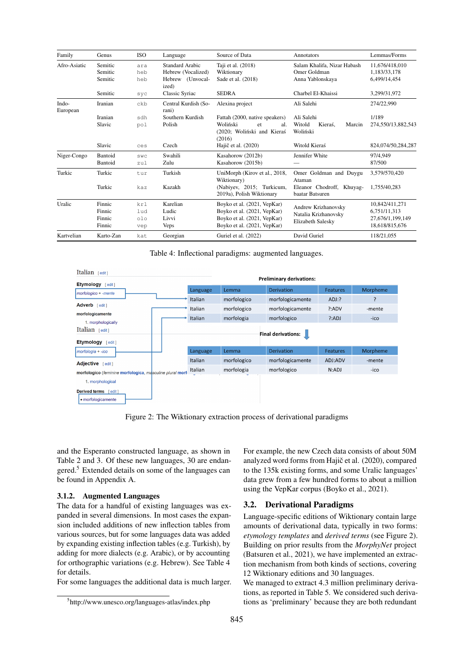<span id="page-5-2"></span>

| Family            | Genus     | <b>ISO</b> | Language                      | Source of Data                                                | Annotators                                   | Lemmas/Forms       |
|-------------------|-----------|------------|-------------------------------|---------------------------------------------------------------|----------------------------------------------|--------------------|
| Afro-Asiatic      | Semitic   | ara        | Standard Arabic               | Taji et al. (2018)                                            | Salam Khalifa, Nizar Habash                  | 11.676/418.010     |
|                   | Semitic   | heb        | Hebrew (Vocalized)            | Wiktionary                                                    | Omer Goldman                                 | 1.183/33.178       |
|                   | Semitic   | heb        | Hebrew (Unvocal-<br>ized)     | Sade et al. (2018)                                            | Anna Yablonskaya                             | 6.499/14.454       |
|                   | Semitic   | syc        | Classic Syriac                | <b>SEDRA</b>                                                  | Charbel El-Khaissi                           | 3,299/31,972       |
| Indo-<br>European | Iranian   | ckb        | Central Kurdish (So-<br>rani) | Alexina project                                               | Ali Salehi                                   | 274/22,990         |
|                   | Iranian   | sdh        | Southern Kurdish              | Fattah (2000, native speakers)                                | Ali Salehi                                   | 1/189              |
|                   | Slavic    | pol        | Polish                        | Woliński<br>al.<br>et<br>(2020; Woliński and Kieraś<br>(2016) | Witold<br>Kieraś.<br>Marcin<br>Woliński      | 274,550/13,882,543 |
|                   | Slavic    | ces        | Czech                         | Hajič et al. (2020)                                           | Witold Kieraś                                | 824,074/50,284,287 |
| Niger-Congo       | Bantoid   | SWC        | Swahili                       | Kasahorow (2012b)                                             | Jennifer White                               | 97/4,949           |
|                   | Bantoid   | zul        | Zulu                          | Kasahorow (2015b)                                             |                                              | 87/500             |
| Turkic            | Turkic    | tur        | Turkish                       | UniMorph (Kirov et al., 2018,<br>Wiktionary)                  | Omer Goldman and Duygu<br>Ataman             | 3,579/570,420      |
|                   | Turkic    | kaz        | Kazakh                        | (Nabiyev, 2015; Turkicum,<br>2019a), Polish Wiktionary        | Eleanor Chodroff, Khuyag-<br>baatar Batsuren | 1.755/40.283       |
| Uralic            | Finnic    | krl        | Karelian                      | Boyko et al. (2021, VepKar)                                   | Andrew Krizhanovsky                          | 10,842/411,271     |
|                   | Finnic    | lud        | Ludic                         | Boyko et al. (2021, VepKar)                                   | Natalia Krizhanovsky                         | 6,751/11,313       |
|                   | Finnic    | olo        | Livvi                         | Boyko et al. (2021, VepKar)                                   | Elizabeth Salesky                            | 27.676/1.199.149   |
|                   | Finnic    | vep        | <b>Veps</b>                   | Boyko et al. (2021, VepKar)                                   |                                              | 18,618/815,676     |
| Kartvelian        | Karto-Zan | kat        | Georgian                      | Guriel et al. (2022)                                          | David Guriel                                 | 118/21.055         |

Table 4: Inflectional paradigms: augmented languages.

<span id="page-5-3"></span>

| Italian $[edit]$<br>Etymology [edit]                     |          |             | <b>Preliminary derivations:</b> |                 |          |
|----------------------------------------------------------|----------|-------------|---------------------------------|-----------------|----------|
| morfologico + -mente                                     | Language | Lemma       | <b>Derivation</b>               | <b>Features</b> | Morpheme |
|                                                          | Italian  | morfologico | morfologicamente                | $ADJ$ :?        | ?        |
| Adverb [edit]                                            | Italian  | morfologico | morfologicamente                | ?:ADV           | -mente   |
| morfologicamente<br>1. morphologically                   | Italian  | morfologia  | morfologico                     | ?:ADJ           | -ico     |
| Italian [edit]<br>Etymology [edit]                       |          |             | <b>Final derivations:</b>       |                 |          |
| morfologia + -ico                                        | Language | Lemma       | Derivation                      | <b>Features</b> | Morpheme |
| Adjective [edit]                                         | Italian  | morfologico | morfologicamente                | ADJ:ADV         | -mente   |
| morfologico (feminine morfologica, masculine plural morf | Italian  | morfologia  | morfologico                     | N:ADJ           | -ico     |
| 1. morphological<br><b>Derived terms</b><br>edit 1       |          |             |                                 |                 |          |

Figure 2: The Wiktionary extraction process of derivational paradigms

and the Esperanto constructed language, as shown in Table [2](#page-3-1) and [3.](#page-4-0) Of these new languages, 30 are endan-gered.<sup>[5](#page-5-1)</sup> Extended details on some of the languages can be found in Appendix [A.](#page-12-14)

## 3.1.2. Augmented Languages

The data for a handful of existing languages was expanded in several dimensions. In most cases the expansion included additions of new inflection tables from various sources, but for some languages data was added by expanding existing inflection tables (e.g. Turkish), by adding for more dialects (e.g. Arabic), or by accounting for orthographic variations (e.g. Hebrew). See Table [4](#page-5-2) for details.

For some languages the additional data is much larger.

For example, the new Czech data consists of about 50M analyzed word forms from Hajič et al. (2020), compared to the 135k existing forms, and some Uralic languages' data grew from a few hundred forms to about a million using the VepKar corpus [\(Boyko et al., 2021\)](#page-8-22).

#### <span id="page-5-0"></span>3.2. Derivational Paradigms

Language-specific editions of Wiktionary contain large amounts of derivational data, typically in two forms: *etymology templates* and *derived terms* (see [Figure 2\)](#page-5-3). Building on prior results from the *MorphyNet* project [\(Batsuren et al., 2021\)](#page-8-23), we have implemented an extraction mechanism from both kinds of sections, covering 12 Wiktionary editions and 30 languages.

We managed to extract 4.3 million preliminary derivations, as reported in Table [5.](#page-6-0) We considered such derivations as 'preliminary' because they are both redundant

<span id="page-5-1"></span><sup>5</sup> http://www.unesco.org/languages-atlas/index.php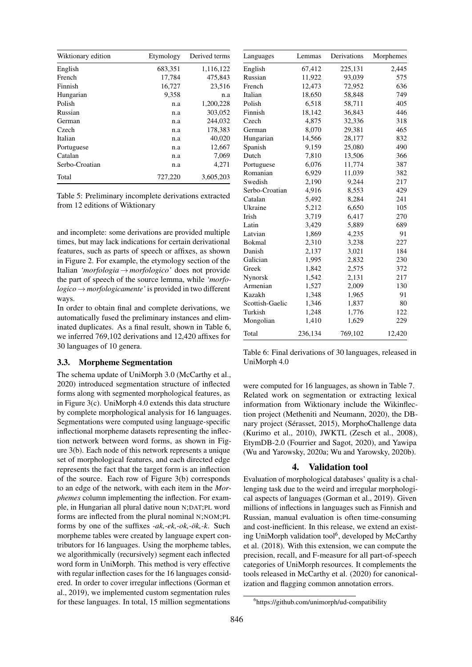<span id="page-6-0"></span>

| Wiktionary edition | Etymology | Derived terms |
|--------------------|-----------|---------------|
| English            | 683,351   | 1,116,122     |
| French             | 17,784    | 475,843       |
| Finnish            | 16,727    | 23,516        |
| Hungarian          | 9,358     | n.a           |
| Polish             | n.a       | 1,200,228     |
| Russian            | n.a       | 303,052       |
| German             | n.a       | 244,032       |
| Czech              | n.a       | 178,383       |
| Italian            | n.a       | 40,020        |
| Portuguese         | n.a       | 12,667        |
| Catalan            | n.a       | 7,069         |
| Serbo-Croatian     | n.a       | 4,271         |
| Total              | 727,220   | 3,605,203     |

Table 5: Preliminary incomplete derivations extracted from 12 editions of Wiktionary

and incomplete: some derivations are provided multiple times, but may lack indications for certain derivational features, such as parts of speech or affixes, as shown in [Figure 2.](#page-5-3) For example, the etymology section of the Italian *'morfologia*→*morfologico'* does not provide the part of speech of the source lemma, while *'morfo* $logico \rightarrow morfologicamente'$  is provided in two different ways.

In order to obtain final and complete derivations, we automatically fused the preliminary instances and eliminated duplicates. As a final result, shown in Table [6,](#page-6-1) we inferred 769,102 derivations and 12,420 affixes for 30 languages of 10 genera.

# 3.3. Morpheme Segmentation

The schema update of UniMorph 3.0 [\(McCarthy et al.,](#page-11-0) [2020\)](#page-11-0) introduced segmentation structure of inflected forms along with segmented morphological features, as in [Figure 3\(](#page-7-0)c). UniMorph 4.0 extends this data structure by complete morphological analysis for 16 languages. Segmentations were computed using language-specific inflectional morpheme datasets representing the inflection network between word forms, as shown in [Fig](#page-7-0)[ure 3\(](#page-7-0)b). Each node of this network represents a unique set of morphological features, and each directed edge represents the fact that the target form is an inflection of the source. Each row of [Figure 3\(](#page-7-0)b) corresponds to an edge of the network, with each item in the *Morphemes* column implementing the inflection. For example, in Hungarian all plural dative noun N;DAT;PL word forms are inflected from the plural nominal N;NOM;PL forms by one of the suffixes *-ak,-ek,-ok,-ök,-k*. Such morpheme tables were created by language expert contributors for 16 languages. Using the morpheme tables, we algorithmically (recursively) segment each inflected word form in UniMorph. This method is very effective with regular inflection cases for the 16 languages considered. In order to cover irregular inflections [\(Gorman et](#page-9-23) [al., 2019\)](#page-9-23), we implemented custom segmentation rules for these languages. In total, 15 million segmentations

<span id="page-6-1"></span>

| Languages       | Lemmas  | Derivations | Morphemes |
|-----------------|---------|-------------|-----------|
| English         | 67,412  | 225,131     | 2,445     |
| Russian         | 11,922  | 93,039      | 575       |
| French          | 12,473  | 72,952      | 636       |
| Italian         | 18,650  | 58,848      | 749       |
| Polish          | 6,518   | 58,711      | 405       |
| Finnish         | 18,142  | 36,843      | 446       |
| Czech           | 4,875   | 32,336      | 318       |
| German          | 8,070   | 29,381      | 465       |
| Hungarian       | 14,566  | 28,177      | 832       |
| Spanish         | 9,159   | 25,080      | 490       |
| Dutch           | 7,810   | 13,506      | 366       |
| Portuguese      | 6,076   | 11,774      | 387       |
| Romanian        | 6,929   | 11,039      | 382       |
| Swedish         | 2,190   | 9,244       | 217       |
| Serbo-Croatian  | 4,916   | 8,553       | 429       |
| Catalan         | 5,492   | 8,284       | 241       |
| Ukraine         | 5,212   | 6,650       | 105       |
| Irish           | 3,719   | 6,417       | 270       |
| Latin           | 3,429   | 5,889       | 689       |
| Latvian         | 1,869   | 4,235       | 91        |
| Bokmal          | 2,310   | 3,238       | 227       |
| Danish          | 2,137   | 3,021       | 184       |
| Galician        | 1,995   | 2,832       | 230       |
| Greek           | 1,842   | 2,575       | 372       |
| Nynorsk         | 1,542   | 2,131       | 217       |
| Armenian        | 1,527   | 2,009       | 130       |
| Kazakh          | 1,348   | 1,965       | 91        |
| Scottish-Gaelic | 1,346   | 1,837       | 80        |
| Turkish         | 1,248   | 1,776       | 122       |
| Mongolian       | 1,410   | 1,629       | 229       |
| Total           | 236,134 | 769,102     | 12,420    |

Table 6: Final derivations of 30 languages, released in UniMorph 4.0

were computed for 16 languages, as shown in Table [7.](#page-7-1) Related work on segmentation or extracting lexical information from Wiktionary include the Wikinflection project [\(Metheniti and Neumann, 2020\)](#page-11-17), the DBnary project [\(Sérasset, 2015\)](#page-11-18), MorphoChallenge data [\(Kurimo et al., 2010\)](#page-10-23), JWKTL [\(Zesch et al., 2008\)](#page-12-15), EtymDB-2.0 [\(Fourrier and Sagot, 2020\)](#page-9-24), and Yawipa [\(Wu and Yarowsky, 2020a;](#page-12-16) [Wu and Yarowsky, 2020b\)](#page-12-17).

#### 4. Validation tool

Evaluation of morphological databases' quality is a challenging task due to the weird and irregular morphological aspects of languages [\(Gorman et al., 2019\)](#page-9-23). Given millions of inflections in languages such as Finnish and Russian, manual evaluation is often time-consuming and cost-inefficient. In this release, we extend an exist-ing UniMorph validation tool<sup>[6](#page-6-2)</sup>, developed by [McCarthy](#page-10-24) [et al. \(2018\)](#page-10-24). With this extension, we can compute the precision, recall, and F-measure for all part-of-speech categories of UniMorph resources. It complements the tools released in [McCarthy et al. \(2020\)](#page-11-0) for canonicalization and flagging common annotation errors.

<span id="page-6-2"></span><sup>6</sup> https://github.com/unimorph/ud-compatibility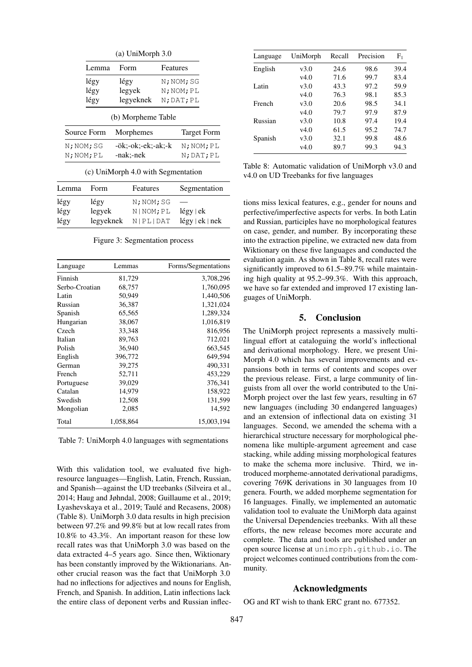<span id="page-7-0"></span>

|     | (a) UniMorph 3.0 |                                    |            |                    |  |  |  |
|-----|------------------|------------------------------------|------------|--------------------|--|--|--|
|     | Lemma            | Form                               | Features   |                    |  |  |  |
|     | légy             | légy                               |            | N; NOM; SG         |  |  |  |
|     | légy             | legyek                             |            | N; NOM; PL         |  |  |  |
|     | légy             | legyeknek                          | N; DAT; PL |                    |  |  |  |
|     | Source Form      | (b) Morpheme Table<br>Morphemes    |            | <b>Target Form</b> |  |  |  |
|     | N; NOM; SG       | -ök:-ok:-ek:-ak:-k                 |            | $N$ ; $NOM$ ; $PL$ |  |  |  |
|     | N; NOM; PL       | -nak:-nek                          |            | N; DAT; PL         |  |  |  |
|     |                  | (c) UniMorph 4.0 with Segmentation |            |                    |  |  |  |
| mma | Form             | Features                           |            | Segmentation       |  |  |  |

| Lemma | <b>Form</b> | Features    | Segmentation                  |
|-------|-------------|-------------|-------------------------------|
| légy  | légy        | N; NOM; SG  | $\overbrace{\phantom{aaaaa}}$ |
| légy  | legyek      | N   NOM; PL | $l$ égy   ek                  |
| légy  | legyeknek   | N PL DATA   | $l$ égy   ek   nek            |

Figure 3: Segmentation process

<span id="page-7-1"></span>

| Language       | Lemmas    | Forms/Segmentations |
|----------------|-----------|---------------------|
| Finnish        | 81,729    | 3,708,296           |
| Serbo-Croatian | 68,757    | 1,760,095           |
| Latin          | 50,949    | 1,440,506           |
| Russian        | 36,387    | 1,321,024           |
| Spanish        | 65,565    | 1,289,324           |
| Hungarian      | 38,067    | 1,016,819           |
| Czech          | 33,348    | 816,956             |
| Italian        | 89,763    | 712,021             |
| Polish         | 36,940    | 663,545             |
| English        | 396,772   | 649,594             |
| German         | 39,275    | 490,331             |
| French         | 52,711    | 453,229             |
| Portuguese     | 39,029    | 376,341             |
| Catalan        | 14,979    | 158,922             |
| Swedish        | 12,508    | 131,599             |
| Mongolian      | 2,085     | 14,592              |
| Total          | 1,058,864 | 15,003,194          |

Table 7: UniMorph 4.0 languages with segmentations

With this validation tool, we evaluated five highresource languages—English, Latin, French, Russian, and Spanish—against the UD treebanks [\(Silveira et al.,](#page-11-19) [2014;](#page-11-19) [Haug and Jøhndal, 2008;](#page-9-25) [Guillaume et al., 2019;](#page-9-26) [Lyashevskaya et al., 2019;](#page-10-25) [Taulé and Recasens, 2008\)](#page-12-18) (Table [8\)](#page-7-2). UniMorph 3.0 data results in high precision between 97.2% and 99.8% but at low recall rates from 10.8% to 43.3%. An important reason for these low recall rates was that UniMorph 3.0 was based on the data extracted 4–5 years ago. Since then, Wiktionary has been constantly improved by the Wiktionarians. Another crucial reason was the fact that UniMorph 3.0 had no inflections for adjectives and nouns for English, French, and Spanish. In addition, Latin inflections lack the entire class of deponent verbs and Russian inflec-

<span id="page-7-2"></span>

| Language | UniMorph | Recall | Precision | $\rm F_1$ |
|----------|----------|--------|-----------|-----------|
| English  | v3.0     | 24.6   | 98.6      | 39.4      |
|          | v4.0     | 71.6   | 99.7      | 83.4      |
| Latin    | v3.0     | 43.3   | 97.2      | 59.9      |
|          | v4.0     | 76.3   | 98.1      | 85.3      |
| French   | v3.0     | 20.6   | 98.5      | 34.1      |
|          | v4.0     | 79.7   | 97.9      | 87.9      |
| Russian  | v3.0     | 10.8   | 97.4      | 19.4      |
|          | v4.0     | 61.5   | 95.2      | 74.7      |
| Spanish  | v3.0     | 32.1   | 99.8      | 48.6      |
|          | v4.0     | 89.7   | 99.3      | 94.3      |

Table 8: Automatic validation of UniMorph v3.0 and v4.0 on UD Treebanks for five languages

tions miss lexical features, e.g., gender for nouns and perfective/imperfective aspects for verbs. In both Latin and Russian, participles have no morphological features on case, gender, and number. By incorporating these into the extraction pipeline, we extracted new data from Wiktionary on these five languages and conducted the evaluation again. As shown in Table [8,](#page-7-2) recall rates were significantly improved to 61.5–89.7% while maintaining high quality at 95.2–99.3%. With this approach, we have so far extended and improved 17 existing languages of UniMorph.

#### 5. Conclusion

The UniMorph project represents a massively multilingual effort at cataloguing the world's inflectional and derivational morphology. Here, we present Uni-Morph 4.0 which has several improvements and expansions both in terms of contents and scopes over the previous release. First, a large community of linguists from all over the world contributed to the Uni-Morph project over the last few years, resulting in 67 new languages (including 30 endangered languages) and an extension of inflectional data on existing 31 languages. Second, we amended the schema with a hierarchical structure necessary for morphological phenomena like multiple-argument agreement and case stacking, while adding missing morphological features to make the schema more inclusive. Third, we introduced morpheme-annotated derivational paradigms, covering 769K derivations in 30 languages from 10 genera. Fourth, we added morpheme segmentation for 16 languages. Finally, we implemented an automatic validation tool to evaluate the UniMorph data against the Universal Dependencies treebanks. With all these efforts, the new release becomes more accurate and complete. The data and tools are published under an open source license at unimorph.github.io. The project welcomes continued contributions from the community.

## Acknowledgments

OG and RT wish to thank ERC grant no. 677352.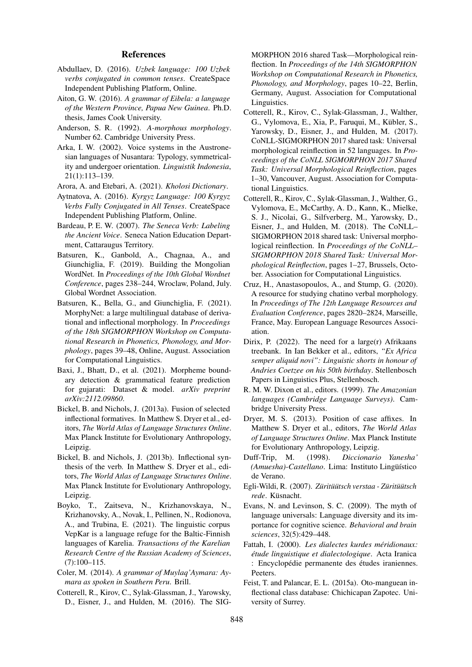#### References

- <span id="page-8-20"></span>Abdullaev, D. (2016). *Uzbek language: 100 Uzbek verbs conjugated in common tenses*. CreateSpace Independent Publishing Platform, Online.
- <span id="page-8-18"></span>Aiton, G. W. (2016). *A grammar of Eibela: a language of the Western Province, Papua New Guinea*. Ph.D. thesis, James Cook University.
- <span id="page-8-7"></span>Anderson, S. R. (1992). *A-morphous morphology*. Number 62. Cambridge University Press.
- <span id="page-8-24"></span>Arka, I. W. (2002). Voice systems in the Austronesian languages of Nusantara: Typology, symmetricality and undergoer orientation. *Linguistik Indonesia*, 21(1):113–139.
- <span id="page-8-11"></span>Arora, A. and Etebari, A. (2021). *Kholosi Dictionary*.
- <span id="page-8-19"></span>Aytnatova, A. (2016). *Kyrgyz Language: 100 Kyrgyz Verbs Fully Conjugated in All Tenses*. CreateSpace Independent Publishing Platform, Online.
- <span id="page-8-14"></span>Bardeau, P. E. W. (2007). *The Seneca Verb: Labeling the Ancient Voice*. Seneca Nation Education Department, Cattaraugus Territory.
- <span id="page-8-15"></span>Batsuren, K., Ganbold, A., Chagnaa, A., and Giunchiglia, F. (2019). Building the Mongolian WordNet. In *Proceedings of the 10th Global Wordnet Conference*, pages 238–244, Wroclaw, Poland, July. Global Wordnet Association.
- <span id="page-8-23"></span>Batsuren, K., Bella, G., and Giunchiglia, F. (2021). MorphyNet: a large multilingual database of derivational and inflectional morphology. In *Proceedings of the 18th SIGMORPHON Workshop on Computational Research in Phonetics, Phonology, and Morphology*, pages 39–48, Online, August. Association for Computational Linguistics.
- <span id="page-8-10"></span>Baxi, J., Bhatt, D., et al. (2021). Morpheme boundary detection & grammatical feature prediction for gujarati: Dataset & model. *arXiv preprint arXiv:2112.09860*.
- <span id="page-8-0"></span>Bickel, B. and Nichols, J. (2013a). Fusion of selected inflectional formatives. In Matthew S. Dryer et al., editors, *The World Atlas of Language Structures Online*. Max Planck Institute for Evolutionary Anthropology, Leipzig.
- <span id="page-8-1"></span>Bickel, B. and Nichols, J. (2013b). Inflectional synthesis of the verb. In Matthew S. Dryer et al., editors, *The World Atlas of Language Structures Online*. Max Planck Institute for Evolutionary Anthropology, Leipzig.
- <span id="page-8-22"></span>Boyko, T., Zaitseva, N., Krizhanovskaya, N., Krizhanovsky, A., Novak, I., Pellinen, N., Rodionova, A., and Trubina, E. (2021). The linguistic corpus VepKar is a language refuge for the Baltic-Finnish languages of Karelia. *Transactions of the Karelian Research Centre of the Russian Academy of Sciences*,  $(7):100-115.$
- <span id="page-8-9"></span>Coler, M. (2014). *A grammar of Muylaq'Aymara: Aymara as spoken in Southern Peru*. Brill.
- <span id="page-8-4"></span>Cotterell, R., Kirov, C., Sylak-Glassman, J., Yarowsky, D., Eisner, J., and Hulden, M. (2016). The SIG-

MORPHON 2016 shared Task—Morphological reinflection. In *Proceedings of the 14th SIGMORPHON Workshop on Computational Research in Phonetics, Phonology, and Morphology*, pages 10–22, Berlin, Germany, August. Association for Computational Linguistics.

- <span id="page-8-5"></span>Cotterell, R., Kirov, C., Sylak-Glassman, J., Walther, G., Vylomova, E., Xia, P., Faruqui, M., Kübler, S., Yarowsky, D., Eisner, J., and Hulden, M. (2017). CoNLL-SIGMORPHON 2017 shared task: Universal morphological reinflection in 52 languages. In *Proceedings of the CoNLL SIGMORPHON 2017 Shared Task: Universal Morphological Reinflection*, pages 1–30, Vancouver, August. Association for Computational Linguistics.
- <span id="page-8-6"></span>Cotterell, R., Kirov, C., Sylak-Glassman, J., Walther, G., Vylomova, E., McCarthy, A. D., Kann, K., Mielke, S. J., Nicolai, G., Silfverberg, M., Yarowsky, D., Eisner, J., and Hulden, M. (2018). The CoNLL– SIGMORPHON 2018 shared task: Universal morphological reinflection. In *Proceedings of the CoNLL– SIGMORPHON 2018 Shared Task: Universal Morphological Reinflection*, pages 1–27, Brussels, October. Association for Computational Linguistics.
- <span id="page-8-16"></span>Cruz, H., Anastasopoulos, A., and Stump, G. (2020). A resource for studying chatino verbal morphology. In *Proceedings of The 12th Language Resources and Evaluation Conference*, pages 2820–2824, Marseille, France, May. European Language Resources Association.
- <span id="page-8-12"></span>Dirix, P.  $(2022)$ . The need for a large(r) Afrikaans treebank. In Ian Bekker et al., editors, *"Ex Africa semper aliquid novi": Linguistic shorts in honour of Andries Coetzee on his 50th birthday*. Stellenbosch Papers in Linguistics Plus, Stellenbosch.
- <span id="page-8-25"></span>R. M. W. Dixon et al., editors. (1999). *The Amazonian languages (Cambridge Language Surveys)*. Cambridge University Press.
- <span id="page-8-2"></span>Dryer, M. S. (2013). Position of case affixes. In Matthew S. Dryer et al., editors, *The World Atlas of Language Structures Online*. Max Planck Institute for Evolutionary Anthropology, Leipzig.
- <span id="page-8-8"></span>Duff-Trip, M. (1998). *Diccionario Yanesha' (Amuesha)-Castellano*. Lima: Instituto Lingüístico de Verano.
- <span id="page-8-13"></span>Egli-Wildi, R. (2007). *Züritüütsch verstaa - Züritüütsch rede*. Küsnacht.
- <span id="page-8-3"></span>Evans, N. and Levinson, S. C. (2009). The myth of language universals: Language diversity and its importance for cognitive science. *Behavioral and brain sciences*, 32(5):429–448.
- <span id="page-8-21"></span>Fattah, I. (2000). *Les dialectes kurdes méridionaux: étude linguistique et dialectologique*. Acta Iranica : Encyclopédie permanente des études iraniennes. Peeters.
- <span id="page-8-17"></span>Feist, T. and Palancar, E. L. (2015a). Oto-manguean inflectional class database: Chichicapan Zapotec. University of Surrey.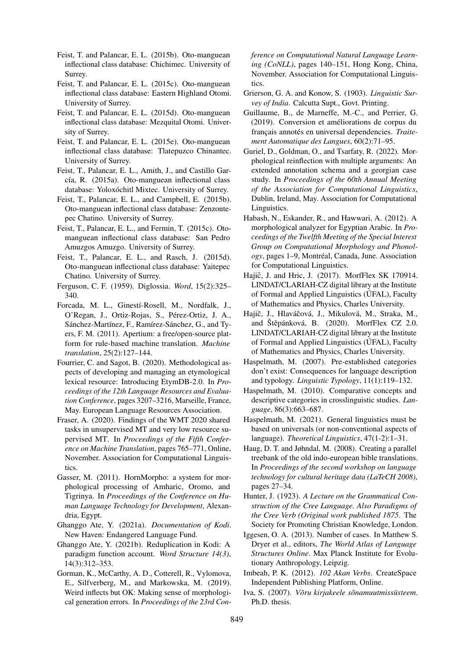- <span id="page-9-13"></span>Feist, T. and Palancar, E. L. (2015b). Oto-manguean inflectional class database: Chichimec. University of Surrey.
- <span id="page-9-17"></span>Feist, T. and Palancar, E. L. (2015c). Oto-manguean inflectional class database: Eastern Highland Otomi. University of Surrey.
- <span id="page-9-16"></span>Feist, T. and Palancar, E. L. (2015d). Oto-manguean inflectional class database: Mezquital Otomi. University of Surrey.
- <span id="page-9-14"></span>Feist, T. and Palancar, E. L. (2015e). Oto-manguean inflectional class database: Tlatepuzco Chinantec. University of Surrey.
- <span id="page-9-15"></span>Feist, T., Palancar, E. L., Amith, J., and Castillo García, R. (2015a). Oto-manguean inflectional class database: Yoloxóchitl Mixtec. University of Surrey.
- <span id="page-9-19"></span>Feist, T., Palancar, E. L., and Campbell, E. (2015b). Oto-manguean inflectional class database: Zenzontepec Chatino. University of Surrey.
- <span id="page-9-12"></span>Feist, T., Palancar, E. L., and Fermin, T. (2015c). Otomanguean inflectional class database: San Pedro Amuzgos Amuzgo. University of Surrey.
- <span id="page-9-18"></span>Feist, T., Palancar, E. L., and Rasch, J. (2015d). Oto-manguean inflectional class database: Yaitepec Chatino. University of Surrey.
- <span id="page-9-27"></span>Ferguson, C. F. (1959). Diglossia. *Word*, 15(2):325– 340.
- <span id="page-9-20"></span>Forcada, M. L., Ginestí-Rosell, M., Nordfalk, J., O'Regan, J., Ortiz-Rojas, S., Pérez-Ortiz, J. A., Sánchez-Martínez, F., Ramírez-Sánchez, G., and Tyers, F. M. (2011). Apertium: a free/open-source platform for rule-based machine translation. *Machine translation*, 25(2):127–144.
- <span id="page-9-24"></span>Fourrier, C. and Sagot, B. (2020). Methodological aspects of developing and managing an etymological lexical resource: Introducing EtymDB-2.0. In *Proceedings of the 12th Language Resources and Evaluation Conference*, pages 3207–3216, Marseille, France, May. European Language Resources Association.
- <span id="page-9-10"></span>Fraser, A. (2020). Findings of the WMT 2020 shared tasks in unsupervised MT and very low resource supervised MT. In *Proceedings of the Fifth Conference on Machine Translation*, pages 765–771, Online, November. Association for Computational Linguistics.
- <span id="page-9-5"></span>Gasser, M. (2011). HornMorpho: a system for morphological processing of Amharic, Oromo, and Tigrinya. In *Proceedings of the Conference on Human Language Technology for Development*, Alexandria, Egypt.
- <span id="page-9-8"></span>Ghanggo Ate, Y. (2021a). *Documentation of Kodi*. New Haven: Endangered Language Fund.
- <span id="page-9-29"></span>Ghanggo Ate, Y. (2021b). Reduplication in Kodi: A paradigm function account. *Word Structure 14(3)*, 14(3):312–353.
- <span id="page-9-23"></span>Gorman, K., McCarthy, A. D., Cotterell, R., Vylomova, E., Silfverberg, M., and Markowska, M. (2019). Weird inflects but OK: Making sense of morphological generation errors. In *Proceedings of the 23rd Con-*

*ference on Computational Natural Language Learning (CoNLL)*, pages 140–151, Hong Kong, China, November. Association for Computational Linguistics.

- <span id="page-9-28"></span>Grierson, G. A. and Konow, S. (1903). *Linguistic Survey of India*. Calcutta Supt., Govt. Printing.
- <span id="page-9-26"></span>Guillaume, B., de Marneffe, M.-C., and Perrier, G. (2019). Conversion et améliorations de corpus du français annotés en universal dependencies. *Traitement Automatique des Langues*, 60(2):71–95.
- <span id="page-9-4"></span>Guriel, D., Goldman, O., and Tsarfaty, R. (2022). Morphological reinflection with multiple arguments: An extended annotation schema and a georgian case study. In *Proceedings of the 60th Annual Meeting of the Association for Computational Linguistics*, Dublin, Ireland, May. Association for Computational Linguistics.
- <span id="page-9-6"></span>Habash, N., Eskander, R., and Hawwari, A. (2012). A morphological analyzer for Egyptian Arabic. In *Proceedings of the Twelfth Meeting of the Special Interest Group on Computational Morphology and Phonology*, pages 1–9, Montréal, Canada, June. Association for Computational Linguistics.
- <span id="page-9-9"></span>Hajič, J. and Hric, J. (2017). MorfFlex SK 170914. LINDAT/CLARIAH-CZ digital library at the Institute of Formal and Applied Linguistics (ÚFAL), Faculty of Mathematics and Physics, Charles University.
- <span id="page-9-22"></span>Hajič, J., Hlaváčová, J., Mikulová, M., Straka, M., and Štěpánková, B. (2020). MorfFlex CZ 2.0. LINDAT/CLARIAH-CZ digital library at the Institute of Formal and Applied Linguistics (ÚFAL), Faculty of Mathematics and Physics, Charles University.
- <span id="page-9-1"></span>Haspelmath, M. (2007). Pre-established categories don't exist: Consequences for language description and typology. *Linguistic Typology*, 11(1):119–132.
- <span id="page-9-3"></span>Haspelmath, M. (2010). Comparative concepts and descriptive categories in crosslinguistic studies. *Language*, 86(3):663–687.
- <span id="page-9-2"></span>Haspelmath, M. (2021). General linguistics must be based on universals (or non-conventional aspects of language). *Theoretical Linguistics*, 47(1-2):1–31.
- <span id="page-9-25"></span>Haug, D. T. and Jøhndal, M. (2008). Creating a parallel treebank of the old indo-european bible translations. In *Proceedings of the second workshop on language technology for cultural heritage data (LaTeCH 2008)*, pages 27–34.
- <span id="page-9-7"></span>Hunter, J. (1923). *A Lecture on the Grammatical Construction of the Cree Language. Also Paradigms of the Cree Verb (Original work published 1875*. The Society for Promoting Christian Knowledge, London.
- <span id="page-9-0"></span>Iggesen, O. A. (2013). Number of cases. In Matthew S. Dryer et al., editors, *The World Atlas of Language Structures Online*. Max Planck Institute for Evolutionary Anthropology, Leipzig.
- <span id="page-9-11"></span>Imbeah, P. K. (2012). *102 Akan Verbs*. CreateSpace Independent Publishing Platform, Online.
- <span id="page-9-21"></span>Iva, S. (2007). *Võru kirjakeele sõnamuutmissüsteem*. Ph.D. thesis.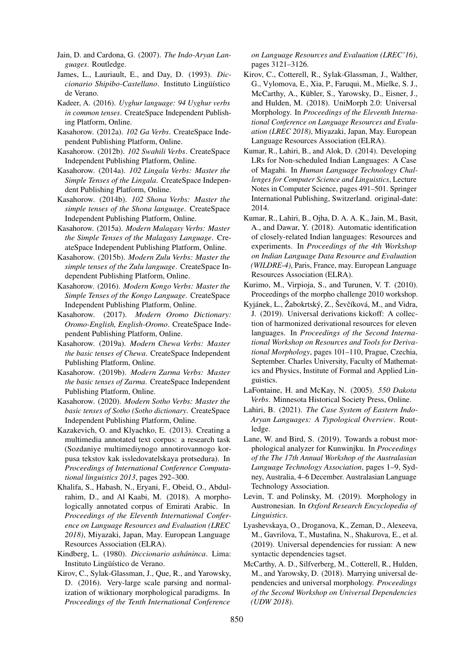<span id="page-10-26"></span>Jain, D. and Cardona, G. (2007). *The Indo-Aryan Languages*. Routledge.

- <span id="page-10-16"></span>James, L., Lauriault, E., and Day, D. (1993). *Diccionario Shipibo-Castellano*. Instituto Lingüístico de Verano.
- <span id="page-10-20"></span>Kadeer, A. (2016). *Uyghur language: 94 Uyghur verbs in common tenses*. CreateSpace Independent Publishing Platform, Online.
- <span id="page-10-15"></span>Kasahorow. (2012a). *102 Ga Verbs*. CreateSpace Independent Publishing Platform, Online.
- <span id="page-10-21"></span>Kasahorow. (2012b). *102 Swahili Verbs*. CreateSpace Independent Publishing Platform, Online.
- <span id="page-10-11"></span>Kasahorow. (2014a). *102 Lingala Verbs: Master the Simple Tenses of the Lingala*. CreateSpace Independent Publishing Platform, Online.
- <span id="page-10-14"></span>Kasahorow. (2014b). *102 Shona Verbs: Master the simple tenses of the Shona language*. CreateSpace Independent Publishing Platform, Online.
- <span id="page-10-6"></span>Kasahorow. (2015a). *Modern Malagasy Verbs: Master the Simple Tenses of the Malagasy Language*. CreateSpace Independent Publishing Platform, Online.
- <span id="page-10-22"></span>Kasahorow. (2015b). *Modern Zulu Verbs: Master the simple tenses of the Zulu language*. CreateSpace Independent Publishing Platform, Online.
- <span id="page-10-10"></span>Kasahorow. (2016). *Modern Kongo Verbs: Master the Simple Tenses of the Kongo Language*. CreateSpace Independent Publishing Platform, Online.
- <span id="page-10-4"></span>Kasahorow. (2017). *Modern Oromo Dictionary: Oromo-English, English-Oromo*. CreateSpace Independent Publishing Platform, Online.
- <span id="page-10-12"></span>Kasahorow. (2019a). *Modern Chewa Verbs: Master the basic tenses of Chewa*. CreateSpace Independent Publishing Platform, Online.
- <span id="page-10-18"></span>Kasahorow. (2019b). *Modern Zarma Verbs: Master the basic tenses of Zarma*. CreateSpace Independent Publishing Platform, Online.
- <span id="page-10-13"></span>Kasahorow. (2020). *Modern Sotho Verbs: Master the basic tenses of Sotho (Sotho dictionary*. CreateSpace Independent Publishing Platform, Online.
- <span id="page-10-19"></span>Kazakevich, O. and Klyachko, E. (2013). Creating a multimedia annotated text corpus: a research task (Sozdaniye multimediynogo annotirovannogo korpusa tekstov kak issledovatelskaya protsedura). In *Proceedings of International Conference Computational linguistics 2013*, pages 292–300.
- <span id="page-10-3"></span>Khalifa, S., Habash, N., Eryani, F., Obeid, O., Abdulrahim, D., and Al Kaabi, M. (2018). A morphologically annotated corpus of Emirati Arabic. In *Proceedings of the Eleventh International Conference on Language Resources and Evaluation (LREC 2018)*, Miyazaki, Japan, May. European Language Resources Association (ELRA).
- <span id="page-10-5"></span>Kindberg, L. (1980). *Diccionario asháninca*. Lima: Instituto Lingüístico de Verano.
- <span id="page-10-0"></span>Kirov, C., Sylak-Glassman, J., Que, R., and Yarowsky, D. (2016). Very-large scale parsing and normalization of wiktionary morphological paradigms. In *Proceedings of the Tenth International Conference*

*on Language Resources and Evaluation (LREC'16)*, pages 3121–3126.

- <span id="page-10-1"></span>Kirov, C., Cotterell, R., Sylak-Glassman, J., Walther, G., Vylomova, E., Xia, P., Faruqui, M., Mielke, S. J., McCarthy, A., Kübler, S., Yarowsky, D., Eisner, J., and Hulden, M. (2018). UniMorph 2.0: Universal Morphology. In *Proceedings of the Eleventh International Conference on Language Resources and Evaluation (LREC 2018)*, Miyazaki, Japan, May. European Language Resources Association (ELRA).
- <span id="page-10-9"></span>Kumar, R., Lahiri, B., and Alok, D. (2014). Developing LRs for Non-scheduled Indian Languages: A Case of Magahi. In *Human Language Technology Challenges for Computer Science and Linguistics*, Lecture Notes in Computer Science, pages 491–501. Springer International Publishing, Switzerland. original-date: 2014.
- <span id="page-10-8"></span>Kumar, R., Lahiri, B., Ojha, D. A. A. K., Jain, M., Basit, A., and Dawar, Y. (2018). Automatic identification of closely-related Indian languages: Resources and experiments. In *Proceedings of the 4th Workshop on Indian Language Data Resource and Evaluation (WILDRE-4)*, Paris, France, may. European Language Resources Association (ELRA).
- <span id="page-10-23"></span>Kurimo, M., Virpioja, S., and Turunen, V. T. (2010). Proceedings of the morpho challenge 2010 workshop.
- <span id="page-10-2"></span>Kyjánek, L., Žabokrtský, Z., Ševčíková, M., and Vidra, J. (2019). Universal derivations kickoff: A collection of harmonized derivational resources for eleven languages. In *Proceedings of the Second International Workshop on Resources and Tools for Derivational Morphology*, pages 101–110, Prague, Czechia, September. Charles University, Faculty of Mathematics and Physics, Institute of Formal and Applied Linguistics.
- <span id="page-10-17"></span>LaFontaine, H. and McKay, N. (2005). *550 Dakota Verbs*. Minnesota Historical Society Press, Online.
- <span id="page-10-27"></span>Lahiri, B. (2021). *The Case System of Eastern Indo-Aryan Languages: A Typological Overview*. Routledge.
- <span id="page-10-7"></span>Lane, W. and Bird, S. (2019). Towards a robust morphological analyzer for Kunwinjku. In *Proceedings of the The 17th Annual Workshop of the Australasian Language Technology Association*, pages 1–9, Sydney, Australia, 4–6 December. Australasian Language Technology Association.
- <span id="page-10-28"></span>Levin, T. and Polinsky, M. (2019). Morphology in Austronesian. In *Oxford Research Encyclopedia of Linguistics*.
- <span id="page-10-25"></span>Lyashevskaya, O., Droganova, K., Zeman, D., Alexeeva, M., Gavrilova, T., Mustafina, N., Shakurova, E., et al. (2019). Universal dependencies for russian: A new syntactic dependencies tagset.
- <span id="page-10-24"></span>McCarthy, A. D., Silfverberg, M., Cotterell, R., Hulden, M., and Yarowsky, D. (2018). Marrying universal dependencies and universal morphology. *Proceedings of the Second Workshop on Universal Dependencies (UDW 2018)*.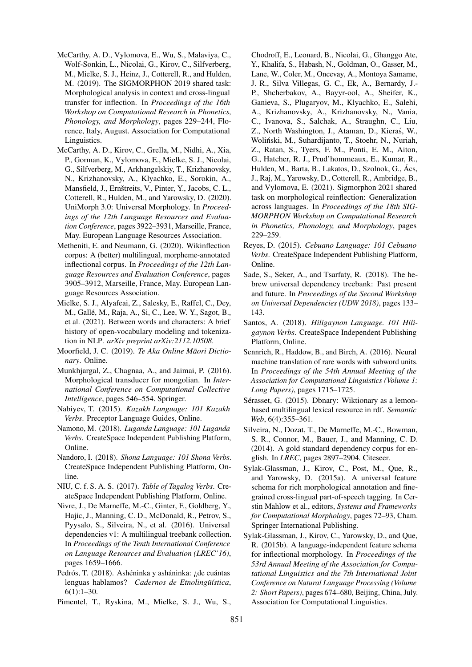- <span id="page-11-3"></span>McCarthy, A. D., Vylomova, E., Wu, S., Malaviya, C., Wolf-Sonkin, L., Nicolai, G., Kirov, C., Silfverberg, M., Mielke, S. J., Heinz, J., Cotterell, R., and Hulden, M. (2019). The SIGMORPHON 2019 shared task: Morphological analysis in context and cross-lingual transfer for inflection. In *Proceedings of the 16th Workshop on Computational Research in Phonetics, Phonology, and Morphology*, pages 229–244, Florence, Italy, August. Association for Computational Linguistics.
- <span id="page-11-0"></span>McCarthy, A. D., Kirov, C., Grella, M., Nidhi, A., Xia, P., Gorman, K., Vylomova, E., Mielke, S. J., Nicolai, G., Silfverberg, M., Arkhangelskiy, T., Krizhanovsky, N., Krizhanovsky, A., Klyachko, E., Sorokin, A., Mansfield, J., Ernštreits, V., Pinter, Y., Jacobs, C. L., Cotterell, R., Hulden, M., and Yarowsky, D. (2020). UniMorph 3.0: Universal Morphology. In *Proceedings of the 12th Language Resources and Evaluation Conference*, pages 3922–3931, Marseille, France, May. European Language Resources Association.
- <span id="page-11-17"></span>Metheniti, E. and Neumann, G. (2020). Wikinflection corpus: A (better) multilingual, morpheme-annotated inflectional corpus. In *Proceedings of the 12th Language Resources and Evaluation Conference*, pages 3905–3912, Marseille, France, May. European Language Resources Association.
- <span id="page-11-7"></span>Mielke, S. J., Alyafeai, Z., Salesky, E., Raffel, C., Dey, M., Gallé, M., Raja, A., Si, C., Lee, W. Y., Sagot, B., et al. (2021). Between words and characters: A brief history of open-vocabulary modeling and tokenization in NLP. *arXiv preprint arXiv:2112.10508*.
- <span id="page-11-11"></span>Moorfield, J. C. (2019). *Te Aka Online Maori Dictio- ¯ nary*. Online.
- <span id="page-11-12"></span>Munkhjargal, Z., Chagnaa, A., and Jaimai, P. (2016). Morphological transducer for mongolian. In *International Conference on Computational Collective Intelligence*, pages 546–554. Springer.
- <span id="page-11-16"></span>Nabiyev, T. (2015). *Kazakh Language: 101 Kazakh Verbs*. Preceptor Language Guides, Online.
- <span id="page-11-13"></span>Namono, M. (2018). *Luganda Language: 101 Luganda Verbs*. CreateSpace Independent Publishing Platform, Online.
- <span id="page-11-14"></span>Nandoro, I. (2018). *Shona Language: 101 Shona Verbs*. CreateSpace Independent Publishing Platform, Online.
- <span id="page-11-10"></span>NIU, C. f. S. A. S. (2017). *Table of Tagalog Verbs*. CreateSpace Independent Publishing Platform, Online.
- <span id="page-11-5"></span>Nivre, J., De Marneffe, M.-C., Ginter, F., Goldberg, Y., Hajic, J., Manning, C. D., McDonald, R., Petrov, S., Pyysalo, S., Silveira, N., et al. (2016). Universal dependencies v1: A multilingual treebank collection. In *Proceedings of the Tenth International Conference on Language Resources and Evaluation (LREC'16)*, pages 1659–1666.
- <span id="page-11-20"></span>Pedrós, T. (2018). Ashéninka y asháninka: ¿de cuántas lenguas hablamos? *Cadernos de Etnolingüística*, 6(1):1–30.
- <span id="page-11-4"></span>Pimentel, T., Ryskina, M., Mielke, S. J., Wu, S.,

Chodroff, E., Leonard, B., Nicolai, G., Ghanggo Ate, Y., Khalifa, S., Habash, N., Goldman, O., Gasser, M., Lane, W., Coler, M., Oncevay, A., Montoya Samame, J. R., Silva Villegas, G. C., Ek, A., Bernardy, J.- P., Shcherbakov, A., Bayyr-ool, A., Sheifer, K., Ganieva, S., Plugaryov, M., Klyachko, E., Salehi, A., Krizhanovsky, A., Krizhanovsky, N., Vania, C., Ivanova, S., Salchak, A., Straughn, C., Liu, Z., North Washington, J., Ataman, D., Kieras, W., ´ Wolinski, M., Suhardijanto, T., Stoehr, N., Nuriah, ´ Z., Ratan, S., Tyers, F. M., Ponti, E. M., Aiton, G., Hatcher, R. J., Prud'hommeaux, E., Kumar, R., Hulden, M., Barta, B., Lakatos, D., Szolnok, G., Ács, J., Raj, M., Yarowsky, D., Cotterell, R., Ambridge, B., and Vylomova, E. (2021). Sigmorphon 2021 shared task on morphological reinflection: Generalization across languages. In *Proceedings of the 18th SIG-MORPHON Workshop on Computational Research in Phonetics, Phonology, and Morphology*, pages 229–259.

- <span id="page-11-8"></span>Reyes, D. (2015). *Cebuano Language: 101 Cebuano Verbs*. CreateSpace Independent Publishing Platform, Online.
- <span id="page-11-15"></span>Sade, S., Seker, A., and Tsarfaty, R. (2018). The hebrew universal dependency treebank: Past present and future. In *Proceedings of the Second Workshop on Universal Dependencies (UDW 2018)*, pages 133– 143.
- <span id="page-11-9"></span>Santos, A. (2018). *Hiligaynon Language. 101 Hiligaynon Verbs*. CreateSpace Independent Publishing Platform, Online.
- <span id="page-11-6"></span>Sennrich, R., Haddow, B., and Birch, A. (2016). Neural machine translation of rare words with subword units. In *Proceedings of the 54th Annual Meeting of the Association for Computational Linguistics (Volume 1: Long Papers)*, pages 1715–1725.
- <span id="page-11-18"></span>Sérasset, G. (2015). Dbnary: Wiktionary as a lemonbased multilingual lexical resource in rdf. *Semantic Web*, 6(4):355–361.
- <span id="page-11-19"></span>Silveira, N., Dozat, T., De Marneffe, M.-C., Bowman, S. R., Connor, M., Bauer, J., and Manning, C. D. (2014). A gold standard dependency corpus for english. In *LREC*, pages 2897–2904. Citeseer.
- <span id="page-11-2"></span>Sylak-Glassman, J., Kirov, C., Post, M., Que, R., and Yarowsky, D. (2015a). A universal feature schema for rich morphological annotation and finegrained cross-lingual part-of-speech tagging. In Cerstin Mahlow et al., editors, *Systems and Frameworks for Computational Morphology*, pages 72–93, Cham. Springer International Publishing.
- <span id="page-11-1"></span>Sylak-Glassman, J., Kirov, C., Yarowsky, D., and Que, R. (2015b). A language-independent feature schema for inflectional morphology. In *Proceedings of the 53rd Annual Meeting of the Association for Computational Linguistics and the 7th International Joint Conference on Natural Language Processing (Volume 2: Short Papers)*, pages 674–680, Beijing, China, July. Association for Computational Linguistics.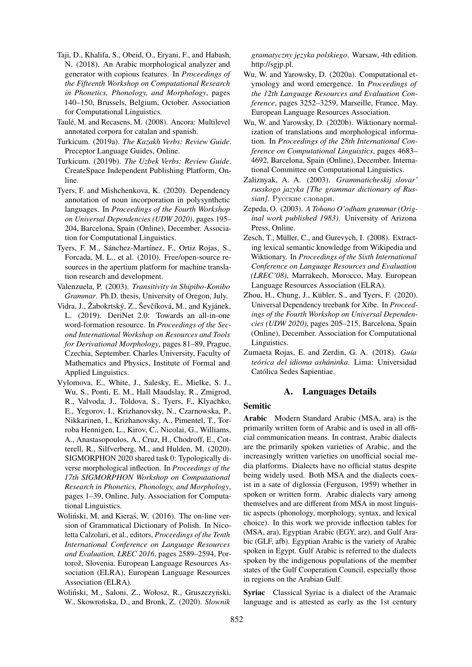- <span id="page-12-10"></span>Taji, D., Khalifa, S., Obeid, O., Eryani, F., and Habash, N. (2018). An Arabic morphological analyzer and generator with copious features. In *Proceedings of the Fifteenth Workshop on Computational Research in Phonetics, Phonology, and Morphology*, pages 140–150, Brussels, Belgium, October. Association for Computational Linguistics.
- <span id="page-12-18"></span>Taulé, M. and Recasens, M. (2008). Ancora: Multilevel annotated corpora for catalan and spanish.
- <span id="page-12-13"></span>Turkicum. (2019a). *The Kazakh Verbs: Review Guide*. Preceptor Language Guides, Online.
- <span id="page-12-7"></span>Turkicum. (2019b). *The Uzbek Verbs: Review Guide*. CreateSpace Independent Publishing Platform, Online.
- <span id="page-12-3"></span>Tyers, F. and Mishchenkova, K. (2020). Dependency annotation of noun incorporation in polysynthetic languages. In *Proceedings of the Fourth Workshop on Universal Dependencies (UDW 2020)*, pages 195– 204, Barcelona, Spain (Online), December. Association for Computational Linguistics.
- <span id="page-12-9"></span>Tyers, F. M., Sánchez-Martínez, F., Ortiz Rojas, S., Forcada, M. L., et al. (2010). Free/open-source resources in the apertium platform for machine translation research and development.
- <span id="page-12-5"></span>Valenzuela, P. (2003). *Transitivity in Shipibo-Konibo Grammar*. Ph.D. thesis, University of Oregon, July.
- <span id="page-12-1"></span>Vidra, J., Žabokrtský, Z., Ševčíková, M., and Kyjánek, L. (2019). DeriNet 2.0: Towards an all-in-one word-formation resource. In *Proceedings of the Second International Workshop on Resources and Tools for Derivational Morphology*, pages 81–89, Prague, Czechia, September. Charles University, Faculty of Mathematics and Physics, Institute of Formal and Applied Linguistics.
- <span id="page-12-0"></span>Vylomova, E., White, J., Salesky, E., Mielke, S. J., Wu, S., Ponti, E. M., Hall Maudslay, R., Zmigrod, R., Valvoda, J., Toldova, S., Tyers, F., Klyachko, E., Yegorov, I., Krizhanovsky, N., Czarnowska, P., Nikkarinen, I., Krizhanovsky, A., Pimentel, T., Torroba Hennigen, L., Kirov, C., Nicolai, G., Williams, A., Anastasopoulos, A., Cruz, H., Chodroff, E., Cotterell, R., Silfverberg, M., and Hulden, M. (2020). SIGMORPHON 2020 shared task 0: Typologically diverse morphological inflection. In *Proceedings of the 17th SIGMORPHON Workshop on Computational Research in Phonetics, Phonology, and Morphology*, pages 1–39, Online, July. Association for Computational Linguistics.
- <span id="page-12-12"></span>Woliński, M. and Kieraś, W. (2016). The on-line version of Grammatical Dictionary of Polish. In Nicoletta Calzolari, et al., editors, *Proceedings of the Tenth International Conference on Language Resources and Evaluation, LREC 2016*, pages 2589–2594, Portorož, Slovenia. European Language Resources Association (ELRA), European Language Resources Association (ELRA).
- <span id="page-12-11"></span>Woliński, M., Saloni, Z., Wołosz, R., Gruszczyński, W., Skowrońska, D., and Bronk, Z. (2020). Słownik

*gramatyczny j˛ezyka polskiego*. Warsaw, 4th edition. [http://sgjp.pl.](http://sgjp.pl)

- <span id="page-12-16"></span>Wu, W. and Yarowsky, D. (2020a). Computational etymology and word emergence. In *Proceedings of the 12th Language Resources and Evaluation Conference*, pages 3252–3259, Marseille, France, May. European Language Resources Association.
- <span id="page-12-17"></span>Wu, W. and Yarowsky, D. (2020b). Wiktionary normalization of translations and morphological information. In *Proceedings of the 28th International Conference on Computational Linguistics*, pages 4683– 4692, Barcelona, Spain (Online), December. International Committee on Computational Linguistics.
- <span id="page-12-4"></span>Zaliznyak, A. A. (2003). *Grammaticheskij slovar' russkogo jazyka [The grammar dictionary of Russian]*. Русские словари.
- <span id="page-12-8"></span>Zepeda, O. (2003). *A Tohono O'odham grammar (Original work published 1983)*. University of Arizona Press, Online.
- <span id="page-12-15"></span>Zesch, T., Müller, C., and Gurevych, I. (2008). Extracting lexical semantic knowledge from Wikipedia and Wiktionary. In *Proceedings of the Sixth International Conference on Language Resources and Evaluation (LREC'08)*, Marrakech, Morocco, May. European Language Resources Association (ELRA).
- <span id="page-12-6"></span>Zhou, H., Chung, J., Kübler, S., and Tyers, F. (2020). Universal Dependency treebank for Xibe. In *Proceedings of the Fourth Workshop on Universal Dependencies (UDW 2020)*, pages 205–215, Barcelona, Spain (Online), December. Association for Computational Linguistics.
- <span id="page-12-2"></span>Zumaeta Rojas, E. and Zerdin, G. A. (2018). *Guía teórica del idioma asháninka*. Lima: Universidad Católica Sedes Sapientiae.

## A. Languages Details

## <span id="page-12-14"></span>Semitic

Arabic Modern Standard Arabic (MSA, ara) is the primarily written form of Arabic and is used in all official communication means. In contrast, Arabic dialects are the primarily spoken varieties of Arabic, and the increasingly written varieties on unofficial social media platforms. Dialects have no official status despite being widely used. Both MSA and the dialects coexist in a sate of diglossia [\(Ferguson, 1959\)](#page-9-27) whether in spoken or written form. Arabic dialects vary among themselves and are different from MSA in most linguistic aspects (phonology, morphology, syntax, and lexical choice). In this work we provide inflection tables for (MSA, ara), Egyptian Arabic (EGY, arz), and Gulf Arabic (GLF, afb). Egyptian Arabic is the variety of Arabic spoken in Egypt. Gulf Arabic is referred to the dialects spoken by the indigenous populations of the member states of the Gulf Cooperation Council, especially those in regions on the Arabian Gulf.

Syriac Classical Syriac is a dialect of the Aramaic language and is attested as early as the 1st century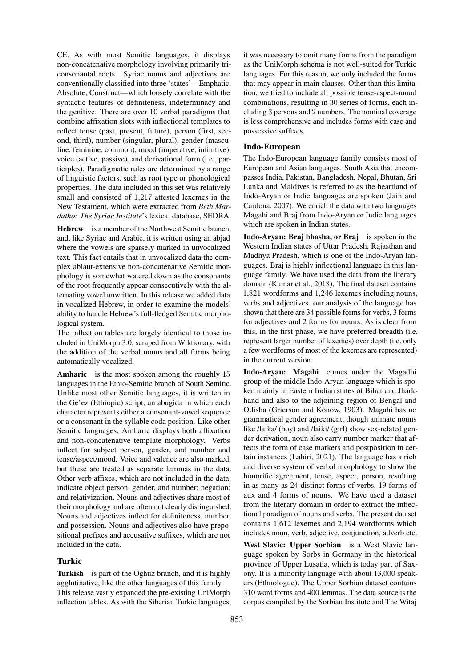CE. As with most Semitic languages, it displays non-concatenative morphology involving primarily triconsonantal roots. Syriac nouns and adjectives are conventionally classified into three 'states'—Emphatic, Absolute, Construct—which loosely correlate with the syntactic features of definiteness, indeterminacy and the genitive. There are over 10 verbal paradigms that combine affixation slots with inflectional templates to reflect tense (past, present, future), person (first, second, third), number (singular, plural), gender (masculine, feminine, common), mood (imperative, infinitive), voice (active, passive), and derivational form (i.e., participles). Paradigmatic rules are determined by a range of linguistic factors, such as root type or phonological properties. The data included in this set was relatively small and consisted of 1,217 attested lexemes in the New Testament, which were extracted from *Beth Mardutho: The Syriac Institute*'s lexical database, SEDRA.

Hebrew is a member of the Northwest Semitic branch, and, like Syriac and Arabic, it is written using an abjad where the vowels are sparsely marked in unvocalized text. This fact entails that in unvocalized data the complex ablaut-extensive non-concatenative Semitic morphology is somewhat watered down as the consonants of the root frequently appear consecutively with the alternating vowel unwritten. In this release we added data in vocalized Hebrew, in order to examine the models' ability to handle Hebrew's full-fledged Semitic morphological system.

The inflection tables are largely identical to those included in UniMorph 3.0, scraped from Wiktionary, with the addition of the verbal nouns and all forms being automatically vocalized.

Amharic is the most spoken among the roughly 15 languages in the Ethio-Semitic branch of South Semitic. Unlike most other Semitic languages, it is written in the Ge'ez (Ethiopic) script, an abugida in which each character represents either a consonant-vowel sequence or a consonant in the syllable coda position. Like other Semitic languages, Amharic displays both affixation and non-concatenative template morphology. Verbs inflect for subject person, gender, and number and tense/aspect/mood. Voice and valence are also marked, but these are treated as separate lemmas in the data. Other verb affixes, which are not included in the data, indicate object person, gender, and number; negation; and relativization. Nouns and adjectives share most of their morphology and are often not clearly distinguished. Nouns and adjectives inflect for definiteness, number, and possession. Nouns and adjectives also have prepositional prefixes and accusative suffixes, which are not included in the data.

#### Turkic

Turkish is part of the Oghuz branch, and it is highly agglutinative, like the other languages of this family. This release vastly expanded the pre-existing UniMorph inflection tables. As with the Siberian Turkic languages, it was necessary to omit many forms from the paradigm as the UniMorph schema is not well-suited for Turkic languages. For this reason, we only included the forms that may appear in main clauses. Other than this limitation, we tried to include all possible tense-aspect-mood combinations, resulting in 30 series of forms, each including 3 persons and 2 numbers. The nominal coverage is less comprehensive and includes forms with case and possessive suffixes.

### Indo-European

The Indo-European language family consists most of European and Asian languages. South Asia that encompasses India, Pakistan, Bangladesh, Nepal, Bhutan, Sri Lanka and Maldives is referred to as the heartland of Indo-Aryan or Indic languages are spoken [\(Jain and](#page-10-26) [Cardona, 2007\)](#page-10-26). We enrich the data with two languages Magahi and Braj from Indo-Aryan or Indic languages which are spoken in Indian states.

Indo-Aryan: Braj bhasha, or Braj is spoken in the Western Indian states of Uttar Pradesh, Rajasthan and Madhya Pradesh, which is one of the Indo-Aryan languages. Braj is highly inflectional language in this language family. We have used the data from the literary domain [\(Kumar et al., 2018\)](#page-10-8). The final dataset contains 1,821 wordforms and 1,246 lexemes including nouns, verbs and adjectives. our analysis of the language has shown that there are 34 possible forms for verbs, 3 forms for adjectives and 2 forms for nouns. As is clear from this, in the first phase, we have preferred breadth (i.e. represent larger number of lexemes) over depth (i.e. only a few wordforms of most of the lexemes are represented) in the current version.

Indo-Aryan: Magahi comes under the Magadhi group of the middle Indo-Aryan language which is spoken mainly in Eastern Indian states of Bihar and Jharkhand and also to the adjoining region of Bengal and Odisha [\(Grierson and Konow, 1903\)](#page-9-28). Magahi has no grammatical gender agreement, though animate nouns like /laika/ (boy) and /laiki/ (girl) show sex-related gender derivation, noun also carry number marker that affects the form of case markers and postposition in certain instances [\(Lahiri, 2021\)](#page-10-27). The language has a rich and diverse system of verbal morphology to show the honorific agreement, tense, aspect, person, resulting in as many as 24 distinct forms of verbs, 19 forms of aux and 4 forms of nouns. We have used a dataset from the literary domain in order to extract the inflectional paradigm of nouns and verbs. The present dataset contains 1,612 lexemes and 2,194 wordforms which includes noun, verb, adjective, conjunction, adverb etc.

West Slavic: Upper Sorbian is a West Slavic language spoken by Sorbs in Germany in the historical province of Upper Lusatia, which is today part of Saxony. It is a minority language with about 13,000 speakers [\(Ethnologue\)](https://www.ethnologue.com/language/HSB). The Upper Sorbian dataset contains 310 word forms and 400 lemmas. The data source is the corpus compiled by the Sorbian Institute and The Witaj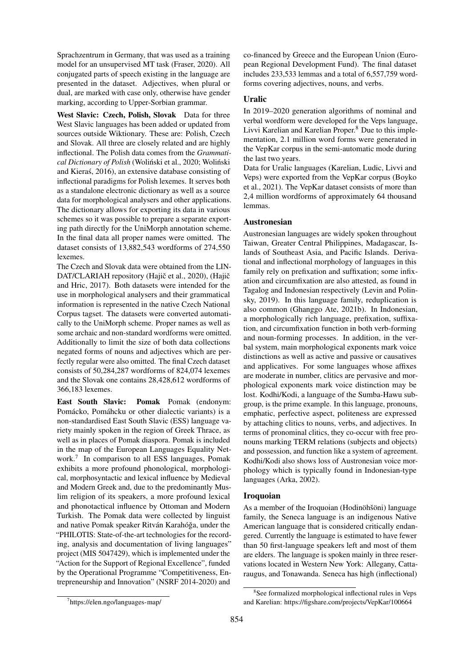Sprachzentrum in Germany, that was used as a training model for an unsupervised MT task [\(Fraser, 2020\)](#page-9-10). All conjugated parts of speech existing in the language are presented in the dataset. Adjectives, when plural or dual, are marked with case only, otherwise have gender marking, according to Upper-Sorbian grammar.

West Slavic: Czech, Polish, Slovak Data for three West Slavic languages has been added or updated from sources outside Wiktionary. These are: Polish, Czech and Slovak. All three are closely related and are highly inflectional. The Polish data comes from the *Grammatical Dictionary of Polish* (Woliński et al., 2020; [Woli](#page-12-12)ński [and Kieras, 2016\)](#page-12-12), an extensive database consisting of ´ inflectional paradigms for Polish lexemes. It serves both as a standalone electronic dictionary as well as a source data for morphological analysers and other applications. The dictionary allows for exporting its data in various schemes so it was possible to prepare a separate exporting path directly for the UniMorph annotation scheme. In the final data all proper names were omitted. The dataset consists of 13,882,543 wordforms of 274,550 lexemes.

The Czech and Slovak data were obtained from the LIN-DAT/CLARIAH repository [\(Haji](#page-9-9)č et al., 2020), (Hajič [and Hric, 2017\)](#page-9-9). Both datasets were intended for the use in morphological analysers and their grammatical information is represented in the native Czech National Corpus tagset. The datasets were converted automatically to the UniMorph scheme. Proper names as well as some archaic and non-standard wordforms were omitted. Additionally to limit the size of both data collections negated forms of nouns and adjectives which are perfectly regular were also omitted. The final Czech dataset consists of 50,284,287 wordforms of 824,074 lexemes and the Slovak one contains 28,428,612 wordforms of 366,183 lexemes.

East South Slavic: Pomak Pomak (endonym: Pomácko, Pomáhcku or other dialectic variants) is a non-standardised East South Slavic (ESS) language variety mainly spoken in the region of Greek Thrace, as well as in places of Pomak diaspora. Pomak is included in the map of the European Languages Equality Network.[7](#page-14-0) In comparison to all ESS languages, Pomak exhibits a more profound phonological, morphological, morphosyntactic and lexical influence by Medieval and Modern Greek and, due to the predominantly Muslim religion of its speakers, a more profound lexical and phonotactical influence by Ottoman and Modern Turkish. The Pomak data were collected by linguist and native Pomak speaker Ritván Karahóğa, under the "PHILOTIS: State-of-the-art technologies for the recording, analysis and documentation of living languages" project (MIS 5047429), which is implemented under the "Action for the Support of Regional Excellence", funded by the Operational Programme "Competitiveness, Entrepreneurship and Innovation" (NSRF 2014-2020) and

co-financed by Greece and the European Union (European Regional Development Fund). The final dataset includes 233,533 lemmas and a total of 6,557,759 wordforms covering adjectives, nouns, and verbs.

## Uralic

In 2019–2020 generation algorithms of nominal and verbal wordform were developed for the Veps language, Livvi Karelian and Karelian Proper.[8](#page-14-1) Due to this implementation, 2.1 million word forms were generated in the VepKar corpus in the semi-automatic mode during the last two years.

Data for Uralic languages (Karelian, Ludic, Livvi and Veps) were exported from the VepKar corpus [\(Boyko](#page-8-22) [et al., 2021\)](#page-8-22). The VepKar dataset consists of more than 2,4 million wordforms of approximately 64 thousand lemmas.

## Austronesian

Austronesian languages are widely spoken throughout Taiwan, Greater Central Philippines, Madagascar, Islands of Southeast Asia, and Pacific Islands. Derivational and inflectional morphology of languages in this family rely on prefixation and suffixation; some infixation and circumfixation are also attested, as found in Tagalog and Indonesian respectively [\(Levin and Polin](#page-10-28)[sky, 2019\)](#page-10-28). In this language family, reduplication is also common [\(Ghanggo Ate, 2021b\)](#page-9-29). In Indonesian, a morphologically rich language, prefixation, suffixation, and circumfixation function in both verb-forming and noun-forming processes. In addition, in the verbal system, main morphological exponents mark voice distinctions as well as active and passive or causatives and applicatives. For some languages whose affixes are moderate in number, clitics are pervasive and morphological exponents mark voice distinction may be lost. Kodhi/Kodi, a language of the Sumba-Hawu subgroup, is the prime example. In this language, pronouns, emphatic, perfective aspect, politeness are expressed by attaching clitics to nouns, verbs, and adjectives. In terms of pronominal clitics, they co-occur with free pronouns marking TERM relations (subjects and objects) and possession, and function like a system of agreement. Kodhi/Kodi also shows loss of Austronesian voice morphology which is typically found in Indonesian-type languages [\(Arka, 2002\)](#page-8-24).

#### Iroquoian

As a member of the Iroquoian (Hodinöhšöni) language family, the Seneca language is an indigenous Native American language that is considered critically endangered. Currently the language is estimated to have fewer than 50 first-language speakers left and most of them are elders. The language is spoken mainly in three reservations located in Western New York: Allegany, Cattaraugus, and Tonawanda. Seneca has high (inflectional)

<span id="page-14-0"></span><sup>7</sup> <https://elen.ngo/languages-map/>

<span id="page-14-1"></span><sup>8</sup> See formalized morphological inflectional rules in Veps and Karelian:<https://figshare.com/projects/VepKar/100664>